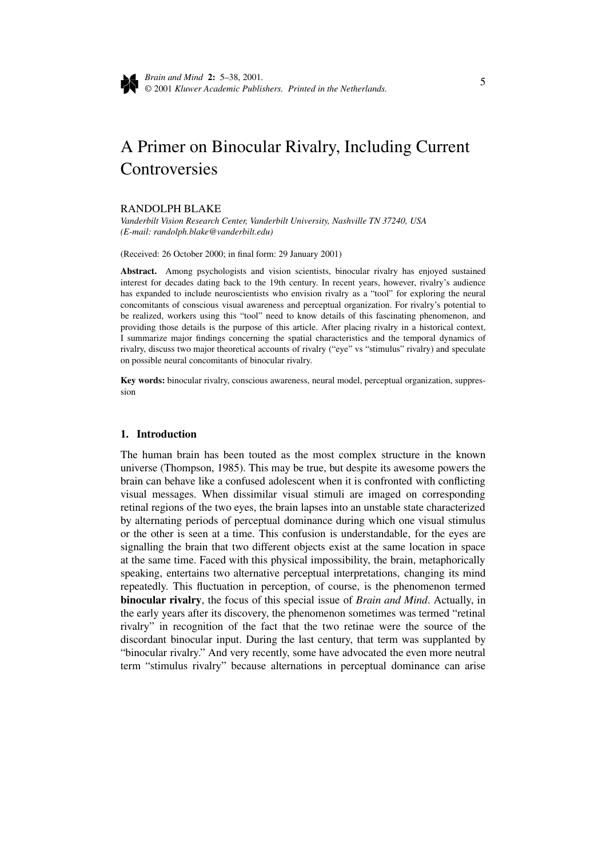

# A Primer on Binocular Rivalry, Including Current **Controversies**

#### RANDOLPH BLAKE

*Vanderbilt Vision Research Center, Vanderbilt University, Nashville TN 37240, USA (E-mail: randolph.blake@vanderbilt.edu)*

(Received: 26 October 2000; in final form: 29 January 2001)

**Abstract.** Among psychologists and vision scientists, binocular rivalry has enjoyed sustained interest for decades dating back to the 19th century. In recent years, however, rivalry's audience has expanded to include neuroscientists who envision rivalry as a "tool" for exploring the neural concomitants of conscious visual awareness and perceptual organization. For rivalry's potential to be realized, workers using this "tool" need to know details of this fascinating phenomenon, and providing those details is the purpose of this article. After placing rivalry in a historical context, I summarize major findings concerning the spatial characteristics and the temporal dynamics of rivalry, discuss two major theoretical accounts of rivalry ("eye" vs "stimulus" rivalry) and speculate on possible neural concomitants of binocular rivalry.

**Key words:** binocular rivalry, conscious awareness, neural model, perceptual organization, suppression

#### **1. Introduction**

The human brain has been touted as the most complex structure in the known universe (Thompson, 1985). This may be true, but despite its awesome powers the brain can behave like a confused adolescent when it is confronted with conflicting visual messages. When dissimilar visual stimuli are imaged on corresponding retinal regions of the two eyes, the brain lapses into an unstable state characterized by alternating periods of perceptual dominance during which one visual stimulus or the other is seen at a time. This confusion is understandable, for the eyes are signalling the brain that two different objects exist at the same location in space at the same time. Faced with this physical impossibility, the brain, metaphorically speaking, entertains two alternative perceptual interpretations, changing its mind repeatedly. This fluctuation in perception, of course, is the phenomenon termed **binocular rivalry**, the focus of this special issue of *Brain and Mind*. Actually, in the early years after its discovery, the phenomenon sometimes was termed "retinal rivalry" in recognition of the fact that the two retinae were the source of the discordant binocular input. During the last century, that term was supplanted by "binocular rivalry." And very recently, some have advocated the even more neutral term "stimulus rivalry" because alternations in perceptual dominance can arise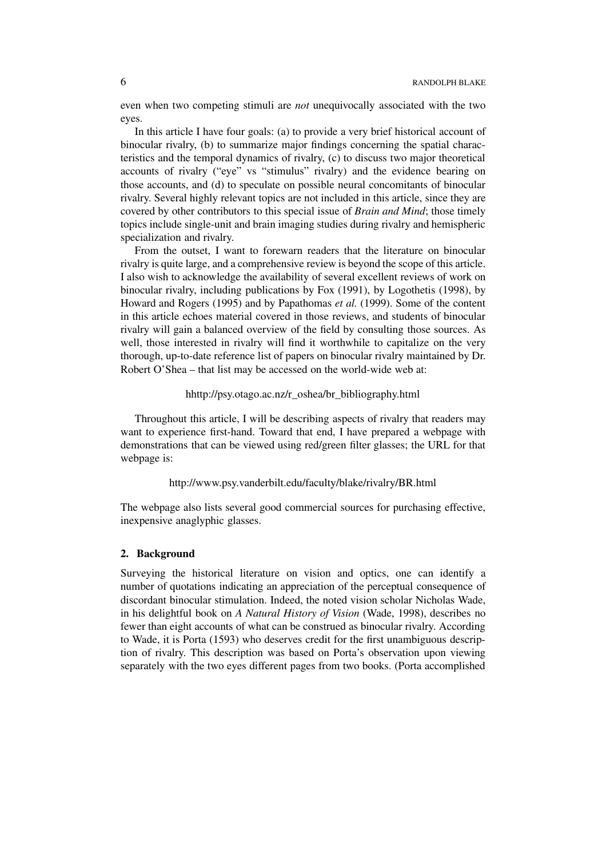even when two competing stimuli are *not* unequivocally associated with the two eyes.

In this article I have four goals: (a) to provide a very brief historical account of binocular rivalry, (b) to summarize major findings concerning the spatial characteristics and the temporal dynamics of rivalry, (c) to discuss two major theoretical accounts of rivalry ("eye" vs "stimulus" rivalry) and the evidence bearing on those accounts, and (d) to speculate on possible neural concomitants of binocular rivalry. Several highly relevant topics are not included in this article, since they are covered by other contributors to this special issue of *Brain and Mind*; those timely topics include single-unit and brain imaging studies during rivalry and hemispheric specialization and rivalry.

From the outset, I want to forewarn readers that the literature on binocular rivalry is quite large, and a comprehensive review is beyond the scope of this article. I also wish to acknowledge the availability of several excellent reviews of work on binocular rivalry, including publications by Fox (1991), by Logothetis (1998), by Howard and Rogers (1995) and by Papathomas *et al.* (1999). Some of the content in this article echoes material covered in those reviews, and students of binocular rivalry will gain a balanced overview of the field by consulting those sources. As well, those interested in rivalry will find it worthwhile to capitalize on the very thorough, up-to-date reference list of papers on binocular rivalry maintained by Dr. Robert O'Shea – that list may be accessed on the world-wide web at:

#### hhttp://psy.otago.ac.nz/r\_oshea/br\_bibliography.html

Throughout this article, I will be describing aspects of rivalry that readers may want to experience first-hand. Toward that end, I have prepared a webpage with demonstrations that can be viewed using red/green filter glasses; the URL for that webpage is:

http://www.psy.vanderbilt.edu/faculty/blake/rivalry/BR.html

The webpage also lists several good commercial sources for purchasing effective, inexpensive anaglyphic glasses.

#### **2. Background**

Surveying the historical literature on vision and optics, one can identify a number of quotations indicating an appreciation of the perceptual consequence of discordant binocular stimulation. Indeed, the noted vision scholar Nicholas Wade, in his delightful book on *A Natural History of Vision* (Wade, 1998), describes no fewer than eight accounts of what can be construed as binocular rivalry. According to Wade, it is Porta (1593) who deserves credit for the first unambiguous description of rivalry. This description was based on Porta's observation upon viewing separately with the two eyes different pages from two books. (Porta accomplished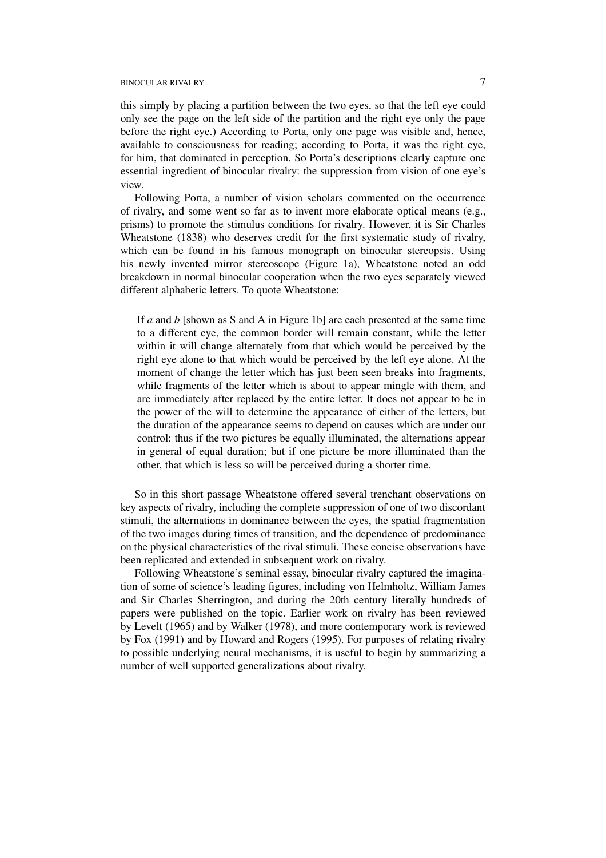this simply by placing a partition between the two eyes, so that the left eye could only see the page on the left side of the partition and the right eye only the page before the right eye.) According to Porta, only one page was visible and, hence, available to consciousness for reading; according to Porta, it was the right eye, for him, that dominated in perception. So Porta's descriptions clearly capture one essential ingredient of binocular rivalry: the suppression from vision of one eye's view.

Following Porta, a number of vision scholars commented on the occurrence of rivalry, and some went so far as to invent more elaborate optical means (e.g., prisms) to promote the stimulus conditions for rivalry. However, it is Sir Charles Wheatstone (1838) who deserves credit for the first systematic study of rivalry, which can be found in his famous monograph on binocular stereopsis. Using his newly invented mirror stereoscope (Figure 1a), Wheatstone noted an odd breakdown in normal binocular cooperation when the two eyes separately viewed different alphabetic letters. To quote Wheatstone:

If *a* and *b* [shown as S and A in Figure 1b] are each presented at the same time to a different eye, the common border will remain constant, while the letter within it will change alternately from that which would be perceived by the right eye alone to that which would be perceived by the left eye alone. At the moment of change the letter which has just been seen breaks into fragments, while fragments of the letter which is about to appear mingle with them, and are immediately after replaced by the entire letter. It does not appear to be in the power of the will to determine the appearance of either of the letters, but the duration of the appearance seems to depend on causes which are under our control: thus if the two pictures be equally illuminated, the alternations appear in general of equal duration; but if one picture be more illuminated than the other, that which is less so will be perceived during a shorter time.

So in this short passage Wheatstone offered several trenchant observations on key aspects of rivalry, including the complete suppression of one of two discordant stimuli, the alternations in dominance between the eyes, the spatial fragmentation of the two images during times of transition, and the dependence of predominance on the physical characteristics of the rival stimuli. These concise observations have been replicated and extended in subsequent work on rivalry.

Following Wheatstone's seminal essay, binocular rivalry captured the imagination of some of science's leading figures, including von Helmholtz, William James and Sir Charles Sherrington, and during the 20th century literally hundreds of papers were published on the topic. Earlier work on rivalry has been reviewed by Levelt (1965) and by Walker (1978), and more contemporary work is reviewed by Fox (1991) and by Howard and Rogers (1995). For purposes of relating rivalry to possible underlying neural mechanisms, it is useful to begin by summarizing a number of well supported generalizations about rivalry.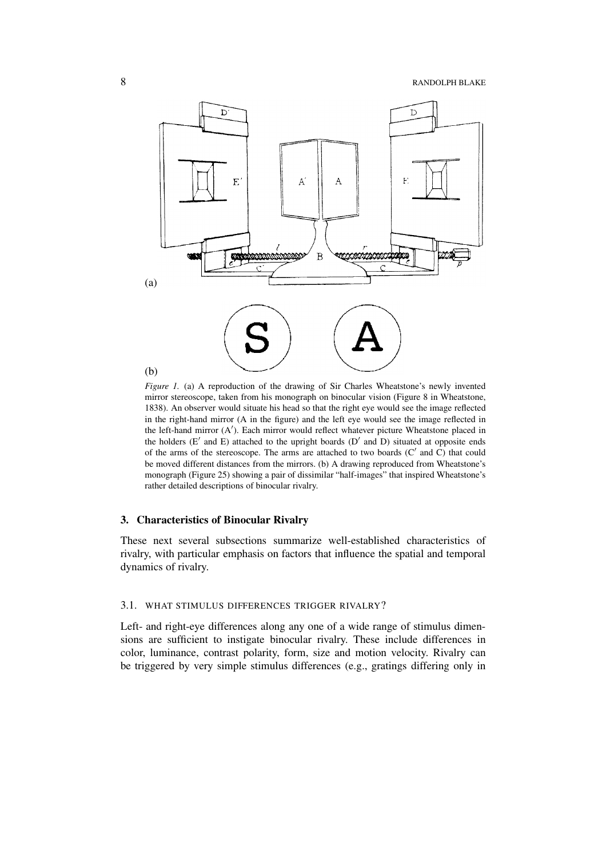

*Figure 1.* (a) A reproduction of the drawing of Sir Charles Wheatstone's newly invented mirror stereoscope, taken from his monograph on binocular vision (Figure 8 in Wheatstone, 1838). An observer would situate his head so that the right eye would see the image reflected in the right-hand mirror (A in the figure) and the left eye would see the image reflected in the left-hand mirror (A ). Each mirror would reflect whatever picture Wheatstone placed in the holders (E' and E) attached to the upright boards (D' and D) situated at opposite ends of the arms of the stereoscope. The arms are attached to two boards  $(C'$  and  $C)$  that could be moved different distances from the mirrors. (b) A drawing reproduced from Wheatstone's monograph (Figure 25) showing a pair of dissimilar "half-images" that inspired Wheatstone's rather detailed descriptions of binocular rivalry.

### **3. Characteristics of Binocular Rivalry**

These next several subsections summarize well-established characteristics of rivalry, with particular emphasis on factors that influence the spatial and temporal dynamics of rivalry.

#### 3.1. WHAT STIMULUS DIFFERENCES TRIGGER RIVALRY?

Left- and right-eye differences along any one of a wide range of stimulus dimensions are sufficient to instigate binocular rivalry. These include differences in color, luminance, contrast polarity, form, size and motion velocity. Rivalry can be triggered by very simple stimulus differences (e.g., gratings differing only in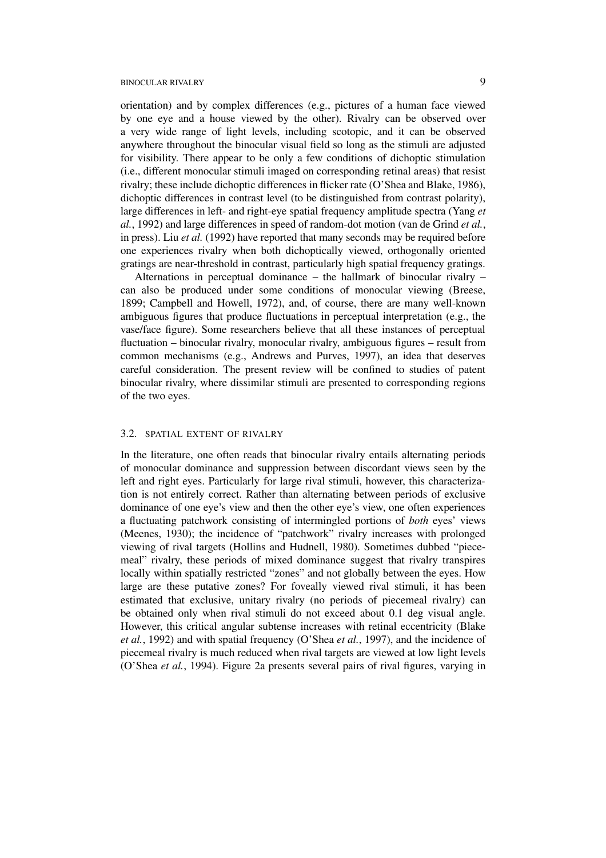orientation) and by complex differences (e.g., pictures of a human face viewed by one eye and a house viewed by the other). Rivalry can be observed over a very wide range of light levels, including scotopic, and it can be observed anywhere throughout the binocular visual field so long as the stimuli are adjusted for visibility. There appear to be only a few conditions of dichoptic stimulation (i.e., different monocular stimuli imaged on corresponding retinal areas) that resist rivalry; these include dichoptic differences in flicker rate (O'Shea and Blake, 1986), dichoptic differences in contrast level (to be distinguished from contrast polarity), large differences in left- and right-eye spatial frequency amplitude spectra (Yang *et al.*, 1992) and large differences in speed of random-dot motion (van de Grind *et al.*, in press). Liu *et al.* (1992) have reported that many seconds may be required before one experiences rivalry when both dichoptically viewed, orthogonally oriented gratings are near-threshold in contrast, particularly high spatial frequency gratings.

Alternations in perceptual dominance – the hallmark of binocular rivalry – can also be produced under some conditions of monocular viewing (Breese, 1899; Campbell and Howell, 1972), and, of course, there are many well-known ambiguous figures that produce fluctuations in perceptual interpretation (e.g., the vase/face figure). Some researchers believe that all these instances of perceptual fluctuation – binocular rivalry, monocular rivalry, ambiguous figures – result from common mechanisms (e.g., Andrews and Purves, 1997), an idea that deserves careful consideration. The present review will be confined to studies of patent binocular rivalry, where dissimilar stimuli are presented to corresponding regions of the two eyes.

#### 3.2. SPATIAL EXTENT OF RIVALRY

In the literature, one often reads that binocular rivalry entails alternating periods of monocular dominance and suppression between discordant views seen by the left and right eyes. Particularly for large rival stimuli, however, this characterization is not entirely correct. Rather than alternating between periods of exclusive dominance of one eye's view and then the other eye's view, one often experiences a fluctuating patchwork consisting of intermingled portions of *both* eyes' views (Meenes, 1930); the incidence of "patchwork" rivalry increases with prolonged viewing of rival targets (Hollins and Hudnell, 1980). Sometimes dubbed "piecemeal" rivalry, these periods of mixed dominance suggest that rivalry transpires locally within spatially restricted "zones" and not globally between the eyes. How large are these putative zones? For foveally viewed rival stimuli, it has been estimated that exclusive, unitary rivalry (no periods of piecemeal rivalry) can be obtained only when rival stimuli do not exceed about 0.1 deg visual angle. However, this critical angular subtense increases with retinal eccentricity (Blake *et al.*, 1992) and with spatial frequency (O'Shea *et al.*, 1997), and the incidence of piecemeal rivalry is much reduced when rival targets are viewed at low light levels (O'Shea *et al.*, 1994). Figure 2a presents several pairs of rival figures, varying in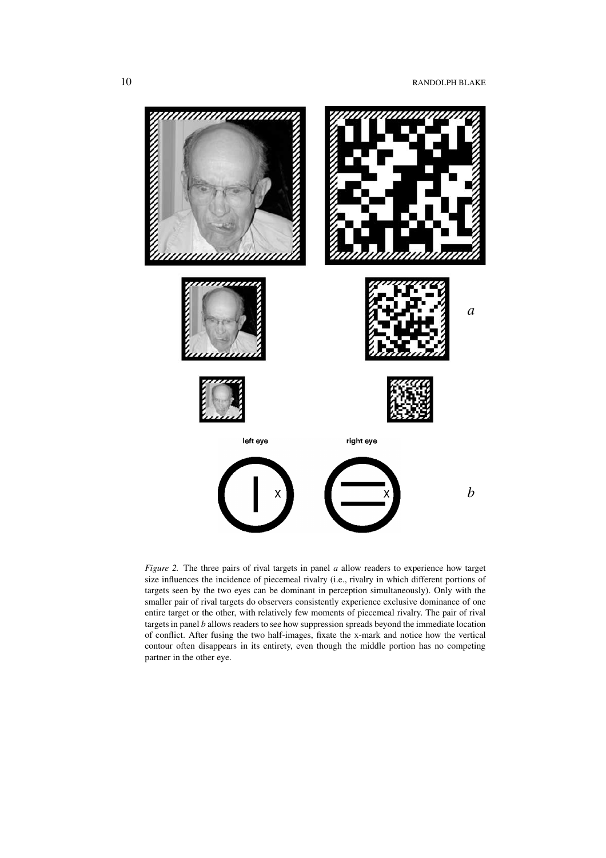

*Figure 2.* The three pairs of rival targets in panel *a* allow readers to experience how target size influences the incidence of piecemeal rivalry (i.e., rivalry in which different portions of targets seen by the two eyes can be dominant in perception simultaneously). Only with the smaller pair of rival targets do observers consistently experience exclusive dominance of one entire target or the other, with relatively few moments of piecemeal rivalry. The pair of rival targets in panel *b* allows readers to see how suppression spreads beyond the immediate location of conflict. After fusing the two half-images, fixate the x-mark and notice how the vertical contour often disappears in its entirety, even though the middle portion has no competing partner in the other eye.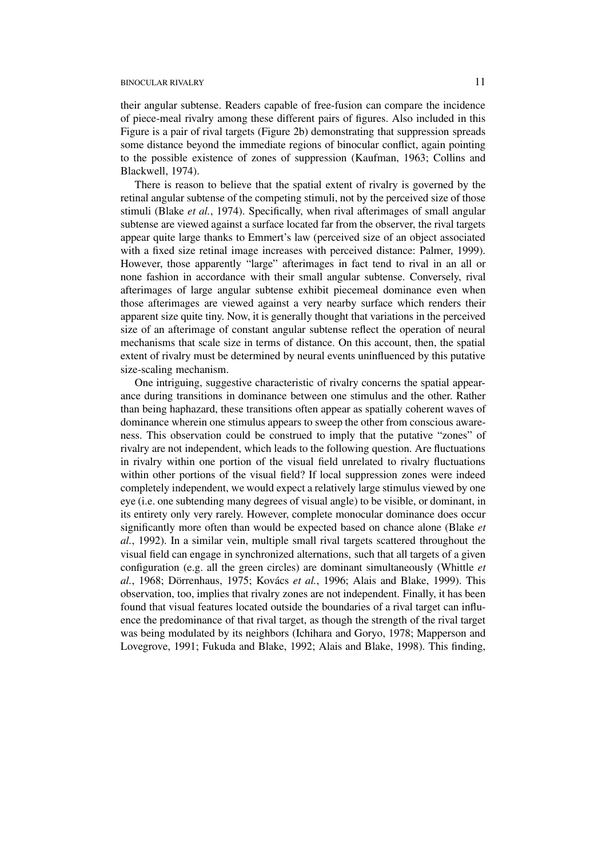their angular subtense. Readers capable of free-fusion can compare the incidence of piece-meal rivalry among these different pairs of figures. Also included in this Figure is a pair of rival targets (Figure 2b) demonstrating that suppression spreads some distance beyond the immediate regions of binocular conflict, again pointing to the possible existence of zones of suppression (Kaufman, 1963; Collins and Blackwell, 1974).

There is reason to believe that the spatial extent of rivalry is governed by the retinal angular subtense of the competing stimuli, not by the perceived size of those stimuli (Blake *et al.*, 1974). Specifically, when rival afterimages of small angular subtense are viewed against a surface located far from the observer, the rival targets appear quite large thanks to Emmert's law (perceived size of an object associated with a fixed size retinal image increases with perceived distance: Palmer, 1999). However, those apparently "large" afterimages in fact tend to rival in an all or none fashion in accordance with their small angular subtense. Conversely, rival afterimages of large angular subtense exhibit piecemeal dominance even when those afterimages are viewed against a very nearby surface which renders their apparent size quite tiny. Now, it is generally thought that variations in the perceived size of an afterimage of constant angular subtense reflect the operation of neural mechanisms that scale size in terms of distance. On this account, then, the spatial extent of rivalry must be determined by neural events uninfluenced by this putative size-scaling mechanism.

One intriguing, suggestive characteristic of rivalry concerns the spatial appearance during transitions in dominance between one stimulus and the other. Rather than being haphazard, these transitions often appear as spatially coherent waves of dominance wherein one stimulus appears to sweep the other from conscious awareness. This observation could be construed to imply that the putative "zones" of rivalry are not independent, which leads to the following question. Are fluctuations in rivalry within one portion of the visual field unrelated to rivalry fluctuations within other portions of the visual field? If local suppression zones were indeed completely independent, we would expect a relatively large stimulus viewed by one eye (i.e. one subtending many degrees of visual angle) to be visible, or dominant, in its entirety only very rarely. However, complete monocular dominance does occur significantly more often than would be expected based on chance alone (Blake *et al.*, 1992). In a similar vein, multiple small rival targets scattered throughout the visual field can engage in synchronized alternations, such that all targets of a given configuration (e.g. all the green circles) are dominant simultaneously (Whittle *et al.*, 1968; Dörrenhaus, 1975; Kovács *et al.*, 1996; Alais and Blake, 1999). This observation, too, implies that rivalry zones are not independent. Finally, it has been found that visual features located outside the boundaries of a rival target can influence the predominance of that rival target, as though the strength of the rival target was being modulated by its neighbors (Ichihara and Goryo, 1978; Mapperson and Lovegrove, 1991; Fukuda and Blake, 1992; Alais and Blake, 1998). This finding,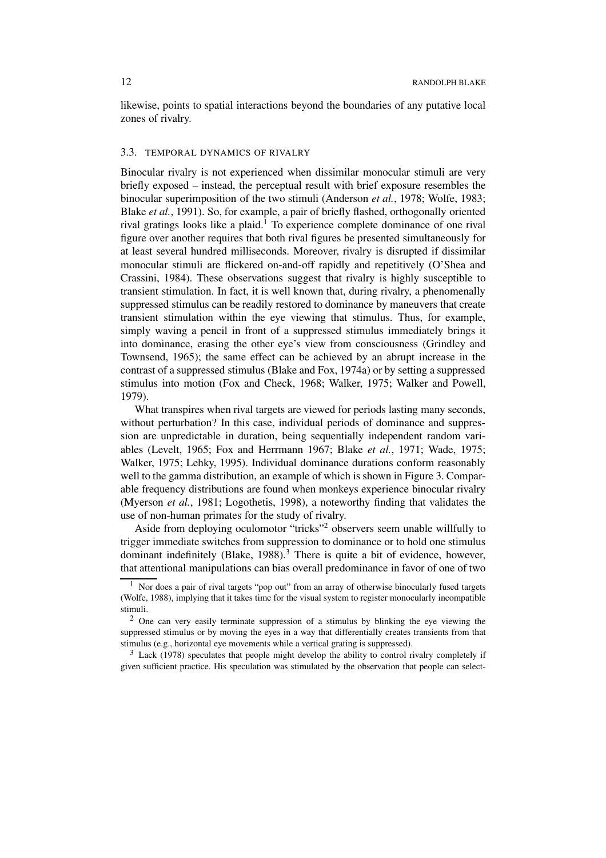likewise, points to spatial interactions beyond the boundaries of any putative local zones of rivalry.

## 3.3. TEMPORAL DYNAMICS OF RIVALRY

Binocular rivalry is not experienced when dissimilar monocular stimuli are very briefly exposed – instead, the perceptual result with brief exposure resembles the binocular superimposition of the two stimuli (Anderson *et al.*, 1978; Wolfe, 1983; Blake *et al.*, 1991). So, for example, a pair of briefly flashed, orthogonally oriented rival gratings looks like a plaid.<sup>1</sup> To experience complete dominance of one rival figure over another requires that both rival figures be presented simultaneously for at least several hundred milliseconds. Moreover, rivalry is disrupted if dissimilar monocular stimuli are flickered on-and-off rapidly and repetitively (O'Shea and Crassini, 1984). These observations suggest that rivalry is highly susceptible to transient stimulation. In fact, it is well known that, during rivalry, a phenomenally suppressed stimulus can be readily restored to dominance by maneuvers that create transient stimulation within the eye viewing that stimulus. Thus, for example, simply waving a pencil in front of a suppressed stimulus immediately brings it into dominance, erasing the other eye's view from consciousness (Grindley and Townsend, 1965); the same effect can be achieved by an abrupt increase in the contrast of a suppressed stimulus (Blake and Fox, 1974a) or by setting a suppressed stimulus into motion (Fox and Check, 1968; Walker, 1975; Walker and Powell, 1979).

What transpires when rival targets are viewed for periods lasting many seconds, without perturbation? In this case, individual periods of dominance and suppression are unpredictable in duration, being sequentially independent random variables (Levelt, 1965; Fox and Herrmann 1967; Blake *et al.*, 1971; Wade, 1975; Walker, 1975; Lehky, 1995). Individual dominance durations conform reasonably well to the gamma distribution, an example of which is shown in Figure 3. Comparable frequency distributions are found when monkeys experience binocular rivalry (Myerson *et al.*, 1981; Logothetis, 1998), a noteworthy finding that validates the use of non-human primates for the study of rivalry.

Aside from deploying oculomotor "tricks"2 observers seem unable willfully to trigger immediate switches from suppression to dominance or to hold one stimulus dominant indefinitely (Blake, 1988).<sup>3</sup> There is quite a bit of evidence, however, that attentional manipulations can bias overall predominance in favor of one of two

<sup>&</sup>lt;sup>1</sup> Nor does a pair of rival targets "pop out" from an array of otherwise binocularly fused targets (Wolfe, 1988), implying that it takes time for the visual system to register monocularly incompatible stimuli.

 $<sup>2</sup>$  One can very easily terminate suppression of a stimulus by blinking the eye viewing the</sup> suppressed stimulus or by moving the eyes in a way that differentially creates transients from that stimulus (e.g., horizontal eye movements while a vertical grating is suppressed).

 $3$  Lack (1978) speculates that people might develop the ability to control rivalry completely if given sufficient practice. His speculation was stimulated by the observation that people can select-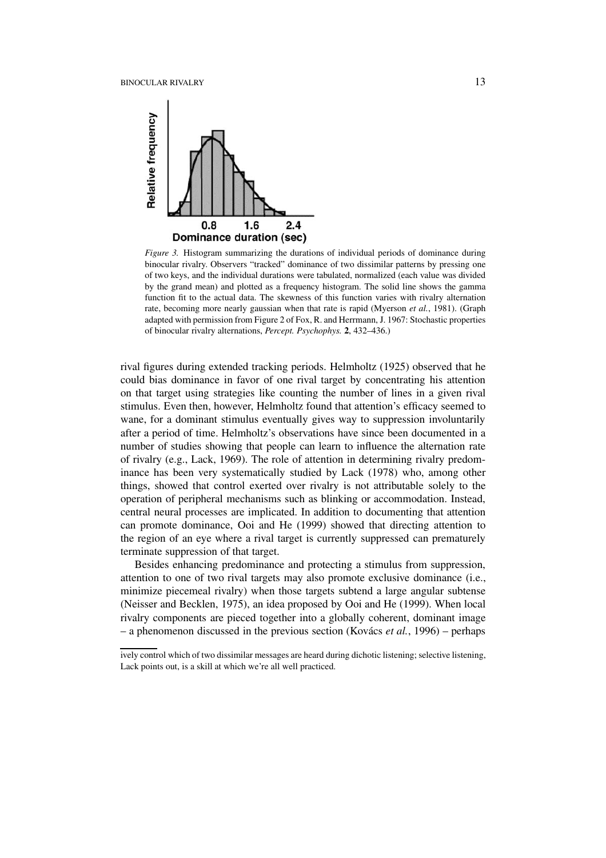

*Figure 3.* Histogram summarizing the durations of individual periods of dominance during binocular rivalry. Observers "tracked" dominance of two dissimilar patterns by pressing one of two keys, and the individual durations were tabulated, normalized (each value was divided by the grand mean) and plotted as a frequency histogram. The solid line shows the gamma function fit to the actual data. The skewness of this function varies with rivalry alternation rate, becoming more nearly gaussian when that rate is rapid (Myerson *et al.*, 1981). (Graph adapted with permission from Figure 2 of Fox, R. and Herrmann, J. 1967: Stochastic properties of binocular rivalry alternations, *Percept. Psychophys.* **2**, 432–436.)

rival figures during extended tracking periods. Helmholtz (1925) observed that he could bias dominance in favor of one rival target by concentrating his attention on that target using strategies like counting the number of lines in a given rival stimulus. Even then, however, Helmholtz found that attention's efficacy seemed to wane, for a dominant stimulus eventually gives way to suppression involuntarily after a period of time. Helmholtz's observations have since been documented in a number of studies showing that people can learn to influence the alternation rate of rivalry (e.g., Lack, 1969). The role of attention in determining rivalry predominance has been very systematically studied by Lack (1978) who, among other things, showed that control exerted over rivalry is not attributable solely to the operation of peripheral mechanisms such as blinking or accommodation. Instead, central neural processes are implicated. In addition to documenting that attention can promote dominance, Ooi and He (1999) showed that directing attention to the region of an eye where a rival target is currently suppressed can prematurely terminate suppression of that target.

Besides enhancing predominance and protecting a stimulus from suppression, attention to one of two rival targets may also promote exclusive dominance (i.e., minimize piecemeal rivalry) when those targets subtend a large angular subtense (Neisser and Becklen, 1975), an idea proposed by Ooi and He (1999). When local rivalry components are pieced together into a globally coherent, dominant image – a phenomenon discussed in the previous section (Kovács *et al.*, 1996) – perhaps

ively control which of two dissimilar messages are heard during dichotic listening; selective listening, Lack points out, is a skill at which we're all well practiced.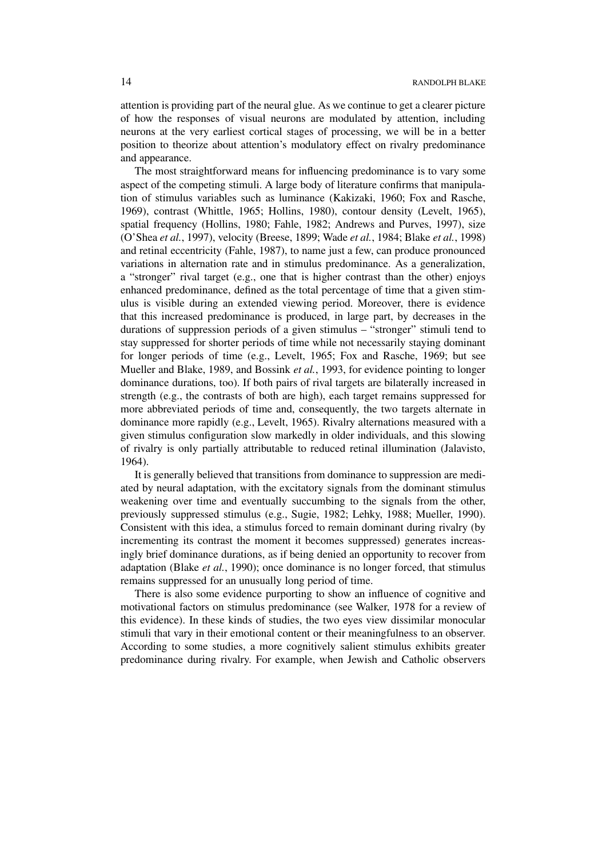attention is providing part of the neural glue. As we continue to get a clearer picture of how the responses of visual neurons are modulated by attention, including neurons at the very earliest cortical stages of processing, we will be in a better position to theorize about attention's modulatory effect on rivalry predominance and appearance.

The most straightforward means for influencing predominance is to vary some aspect of the competing stimuli. A large body of literature confirms that manipulation of stimulus variables such as luminance (Kakizaki, 1960; Fox and Rasche, 1969), contrast (Whittle, 1965; Hollins, 1980), contour density (Levelt, 1965), spatial frequency (Hollins, 1980; Fahle, 1982; Andrews and Purves, 1997), size (O'Shea *et al.*, 1997), velocity (Breese, 1899; Wade *et al.*, 1984; Blake *et al.*, 1998) and retinal eccentricity (Fahle, 1987), to name just a few, can produce pronounced variations in alternation rate and in stimulus predominance. As a generalization, a "stronger" rival target (e.g., one that is higher contrast than the other) enjoys enhanced predominance, defined as the total percentage of time that a given stimulus is visible during an extended viewing period. Moreover, there is evidence that this increased predominance is produced, in large part, by decreases in the durations of suppression periods of a given stimulus – "stronger" stimuli tend to stay suppressed for shorter periods of time while not necessarily staying dominant for longer periods of time (e.g., Levelt, 1965; Fox and Rasche, 1969; but see Mueller and Blake, 1989, and Bossink *et al.*, 1993, for evidence pointing to longer dominance durations, too). If both pairs of rival targets are bilaterally increased in strength (e.g., the contrasts of both are high), each target remains suppressed for more abbreviated periods of time and, consequently, the two targets alternate in dominance more rapidly (e.g., Levelt, 1965). Rivalry alternations measured with a given stimulus configuration slow markedly in older individuals, and this slowing of rivalry is only partially attributable to reduced retinal illumination (Jalavisto, 1964).

It is generally believed that transitions from dominance to suppression are mediated by neural adaptation, with the excitatory signals from the dominant stimulus weakening over time and eventually succumbing to the signals from the other, previously suppressed stimulus (e.g., Sugie, 1982; Lehky, 1988; Mueller, 1990). Consistent with this idea, a stimulus forced to remain dominant during rivalry (by incrementing its contrast the moment it becomes suppressed) generates increasingly brief dominance durations, as if being denied an opportunity to recover from adaptation (Blake *et al.*, 1990); once dominance is no longer forced, that stimulus remains suppressed for an unusually long period of time.

There is also some evidence purporting to show an influence of cognitive and motivational factors on stimulus predominance (see Walker, 1978 for a review of this evidence). In these kinds of studies, the two eyes view dissimilar monocular stimuli that vary in their emotional content or their meaningfulness to an observer. According to some studies, a more cognitively salient stimulus exhibits greater predominance during rivalry. For example, when Jewish and Catholic observers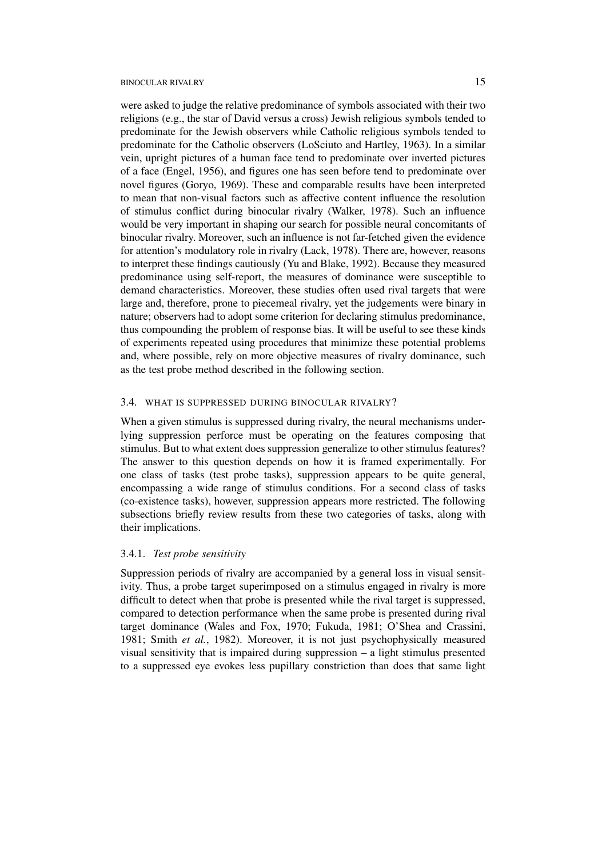were asked to judge the relative predominance of symbols associated with their two religions (e.g., the star of David versus a cross) Jewish religious symbols tended to predominate for the Jewish observers while Catholic religious symbols tended to predominate for the Catholic observers (LoSciuto and Hartley, 1963). In a similar vein, upright pictures of a human face tend to predominate over inverted pictures of a face (Engel, 1956), and figures one has seen before tend to predominate over novel figures (Goryo, 1969). These and comparable results have been interpreted to mean that non-visual factors such as affective content influence the resolution of stimulus conflict during binocular rivalry (Walker, 1978). Such an influence would be very important in shaping our search for possible neural concomitants of binocular rivalry. Moreover, such an influence is not far-fetched given the evidence for attention's modulatory role in rivalry (Lack, 1978). There are, however, reasons to interpret these findings cautiously (Yu and Blake, 1992). Because they measured predominance using self-report, the measures of dominance were susceptible to demand characteristics. Moreover, these studies often used rival targets that were large and, therefore, prone to piecemeal rivalry, yet the judgements were binary in nature; observers had to adopt some criterion for declaring stimulus predominance, thus compounding the problem of response bias. It will be useful to see these kinds of experiments repeated using procedures that minimize these potential problems and, where possible, rely on more objective measures of rivalry dominance, such as the test probe method described in the following section.

## 3.4. WHAT IS SUPPRESSED DURING BINOCULAR RIVALRY?

When a given stimulus is suppressed during rivalry, the neural mechanisms underlying suppression perforce must be operating on the features composing that stimulus. But to what extent does suppression generalize to other stimulus features? The answer to this question depends on how it is framed experimentally. For one class of tasks (test probe tasks), suppression appears to be quite general, encompassing a wide range of stimulus conditions. For a second class of tasks (co-existence tasks), however, suppression appears more restricted. The following subsections briefly review results from these two categories of tasks, along with their implications.

# 3.4.1. *Test probe sensitivity*

Suppression periods of rivalry are accompanied by a general loss in visual sensitivity. Thus, a probe target superimposed on a stimulus engaged in rivalry is more difficult to detect when that probe is presented while the rival target is suppressed, compared to detection performance when the same probe is presented during rival target dominance (Wales and Fox, 1970; Fukuda, 1981; O'Shea and Crassini, 1981; Smith *et al.*, 1982). Moreover, it is not just psychophysically measured visual sensitivity that is impaired during suppression – a light stimulus presented to a suppressed eye evokes less pupillary constriction than does that same light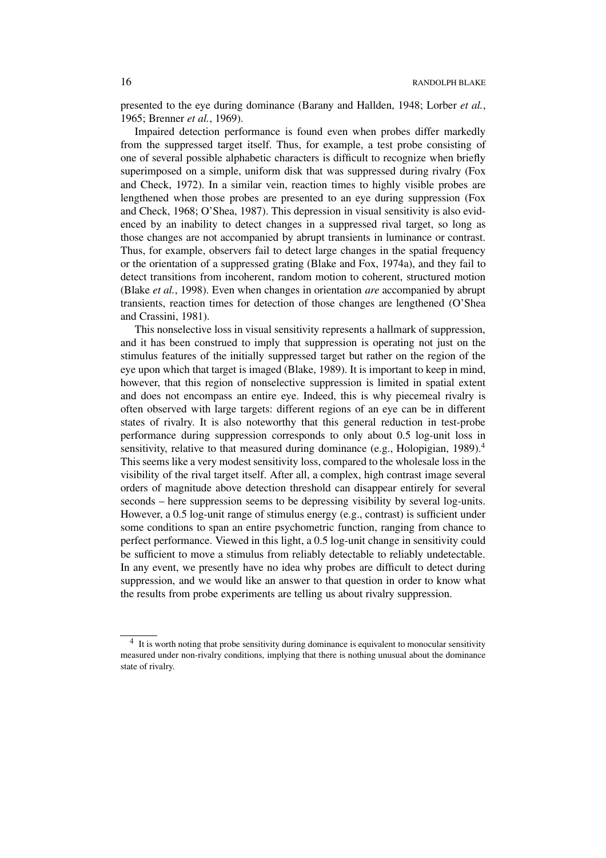presented to the eye during dominance (Barany and Hallden, 1948; Lorber *et al.*, 1965; Brenner *et al.*, 1969).

Impaired detection performance is found even when probes differ markedly from the suppressed target itself. Thus, for example, a test probe consisting of one of several possible alphabetic characters is difficult to recognize when briefly superimposed on a simple, uniform disk that was suppressed during rivalry (Fox and Check, 1972). In a similar vein, reaction times to highly visible probes are lengthened when those probes are presented to an eye during suppression (Fox and Check, 1968; O'Shea, 1987). This depression in visual sensitivity is also evidenced by an inability to detect changes in a suppressed rival target, so long as those changes are not accompanied by abrupt transients in luminance or contrast. Thus, for example, observers fail to detect large changes in the spatial frequency or the orientation of a suppressed grating (Blake and Fox, 1974a), and they fail to detect transitions from incoherent, random motion to coherent, structured motion (Blake *et al.*, 1998). Even when changes in orientation *are* accompanied by abrupt transients, reaction times for detection of those changes are lengthened (O'Shea and Crassini, 1981).

This nonselective loss in visual sensitivity represents a hallmark of suppression, and it has been construed to imply that suppression is operating not just on the stimulus features of the initially suppressed target but rather on the region of the eye upon which that target is imaged (Blake, 1989). It is important to keep in mind, however, that this region of nonselective suppression is limited in spatial extent and does not encompass an entire eye. Indeed, this is why piecemeal rivalry is often observed with large targets: different regions of an eye can be in different states of rivalry. It is also noteworthy that this general reduction in test-probe performance during suppression corresponds to only about 0.5 log-unit loss in sensitivity, relative to that measured during dominance (e.g., Holopigian, 1989).<sup>4</sup> This seems like a very modest sensitivity loss, compared to the wholesale loss in the visibility of the rival target itself. After all, a complex, high contrast image several orders of magnitude above detection threshold can disappear entirely for several seconds – here suppression seems to be depressing visibility by several log-units. However, a 0.5 log-unit range of stimulus energy (e.g., contrast) is sufficient under some conditions to span an entire psychometric function, ranging from chance to perfect performance. Viewed in this light, a 0.5 log-unit change in sensitivity could be sufficient to move a stimulus from reliably detectable to reliably undetectable. In any event, we presently have no idea why probes are difficult to detect during suppression, and we would like an answer to that question in order to know what the results from probe experiments are telling us about rivalry suppression.

<sup>&</sup>lt;sup>4</sup> It is worth noting that probe sensitivity during dominance is equivalent to monocular sensitivity measured under non-rivalry conditions, implying that there is nothing unusual about the dominance state of rivalry.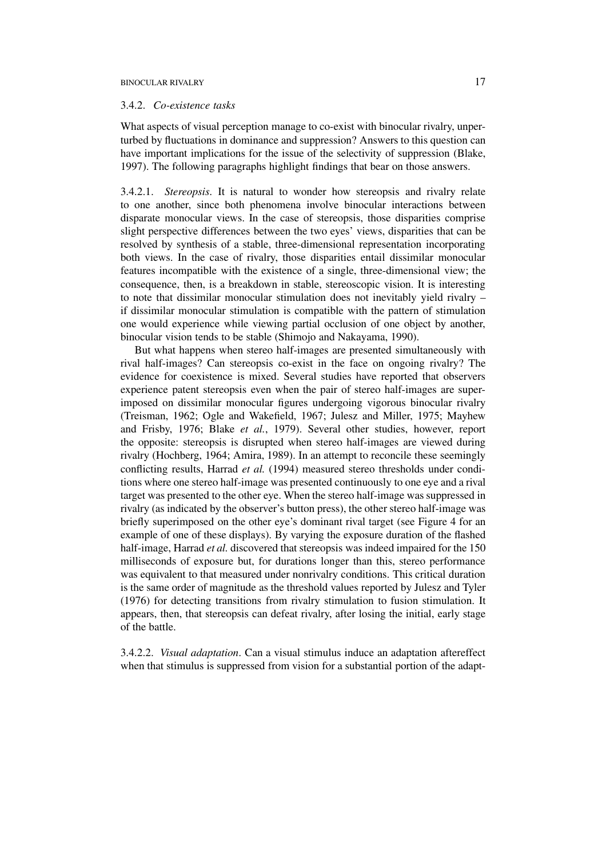#### 3.4.2. *Co-existence tasks*

What aspects of visual perception manage to co-exist with binocular rivalry, unperturbed by fluctuations in dominance and suppression? Answers to this question can have important implications for the issue of the selectivity of suppression (Blake, 1997). The following paragraphs highlight findings that bear on those answers.

3.4.2.1. *Stereopsis*. It is natural to wonder how stereopsis and rivalry relate to one another, since both phenomena involve binocular interactions between disparate monocular views. In the case of stereopsis, those disparities comprise slight perspective differences between the two eyes' views, disparities that can be resolved by synthesis of a stable, three-dimensional representation incorporating both views. In the case of rivalry, those disparities entail dissimilar monocular features incompatible with the existence of a single, three-dimensional view; the consequence, then, is a breakdown in stable, stereoscopic vision. It is interesting to note that dissimilar monocular stimulation does not inevitably yield rivalry – if dissimilar monocular stimulation is compatible with the pattern of stimulation one would experience while viewing partial occlusion of one object by another, binocular vision tends to be stable (Shimojo and Nakayama, 1990).

But what happens when stereo half-images are presented simultaneously with rival half-images? Can stereopsis co-exist in the face on ongoing rivalry? The evidence for coexistence is mixed. Several studies have reported that observers experience patent stereopsis even when the pair of stereo half-images are superimposed on dissimilar monocular figures undergoing vigorous binocular rivalry (Treisman, 1962; Ogle and Wakefield, 1967; Julesz and Miller, 1975; Mayhew and Frisby, 1976; Blake *et al.*, 1979). Several other studies, however, report the opposite: stereopsis is disrupted when stereo half-images are viewed during rivalry (Hochberg, 1964; Amira, 1989). In an attempt to reconcile these seemingly conflicting results, Harrad *et al.* (1994) measured stereo thresholds under conditions where one stereo half-image was presented continuously to one eye and a rival target was presented to the other eye. When the stereo half-image was suppressed in rivalry (as indicated by the observer's button press), the other stereo half-image was briefly superimposed on the other eye's dominant rival target (see Figure 4 for an example of one of these displays). By varying the exposure duration of the flashed half-image, Harrad *et al.* discovered that stereopsis was indeed impaired for the 150 milliseconds of exposure but, for durations longer than this, stereo performance was equivalent to that measured under nonrivalry conditions. This critical duration is the same order of magnitude as the threshold values reported by Julesz and Tyler (1976) for detecting transitions from rivalry stimulation to fusion stimulation. It appears, then, that stereopsis can defeat rivalry, after losing the initial, early stage of the battle.

3.4.2.2. *Visual adaptation*. Can a visual stimulus induce an adaptation aftereffect when that stimulus is suppressed from vision for a substantial portion of the adapt-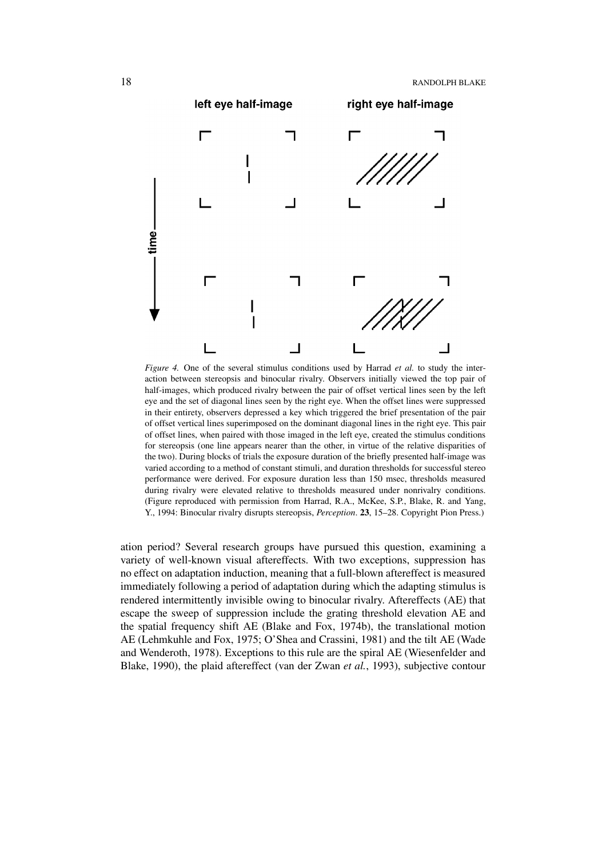

*Figure 4.* One of the several stimulus conditions used by Harrad *et al.* to study the interaction between stereopsis and binocular rivalry. Observers initially viewed the top pair of half-images, which produced rivalry between the pair of offset vertical lines seen by the left eye and the set of diagonal lines seen by the right eye. When the offset lines were suppressed in their entirety, observers depressed a key which triggered the brief presentation of the pair of offset vertical lines superimposed on the dominant diagonal lines in the right eye. This pair of offset lines, when paired with those imaged in the left eye, created the stimulus conditions for stereopsis (one line appears nearer than the other, in virtue of the relative disparities of the two). During blocks of trials the exposure duration of the briefly presented half-image was varied according to a method of constant stimuli, and duration thresholds for successful stereo performance were derived. For exposure duration less than 150 msec, thresholds measured during rivalry were elevated relative to thresholds measured under nonrivalry conditions. (Figure reproduced with permission from Harrad, R.A., McKee, S.P., Blake, R. and Yang, Y., 1994: Binocular rivalry disrupts stereopsis, *Perception*. **23**, 15–28. Copyright Pion Press.)

ation period? Several research groups have pursued this question, examining a variety of well-known visual aftereffects. With two exceptions, suppression has no effect on adaptation induction, meaning that a full-blown aftereffect is measured immediately following a period of adaptation during which the adapting stimulus is rendered intermittently invisible owing to binocular rivalry. Aftereffects (AE) that escape the sweep of suppression include the grating threshold elevation AE and the spatial frequency shift AE (Blake and Fox, 1974b), the translational motion AE (Lehmkuhle and Fox, 1975; O'Shea and Crassini, 1981) and the tilt AE (Wade and Wenderoth, 1978). Exceptions to this rule are the spiral AE (Wiesenfelder and Blake, 1990), the plaid aftereffect (van der Zwan *et al.*, 1993), subjective contour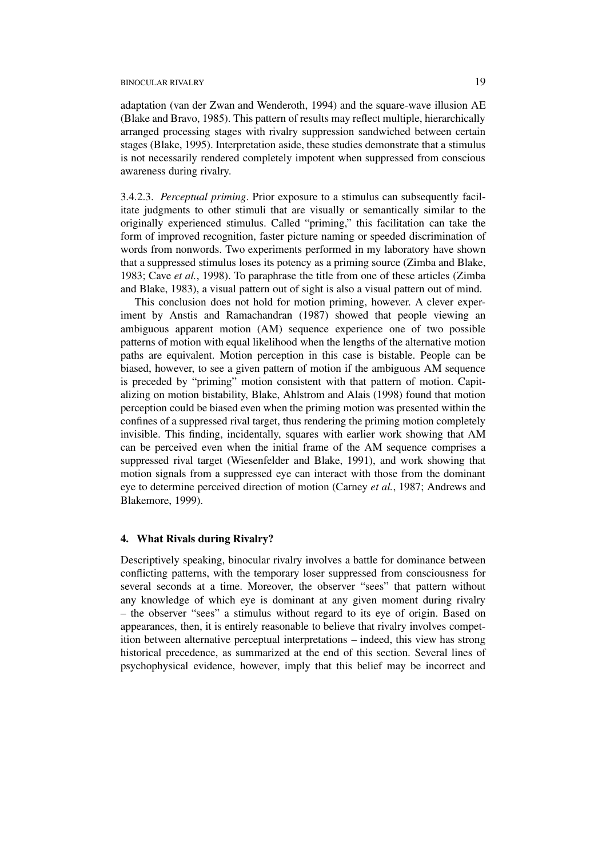adaptation (van der Zwan and Wenderoth, 1994) and the square-wave illusion AE (Blake and Bravo, 1985). This pattern of results may reflect multiple, hierarchically arranged processing stages with rivalry suppression sandwiched between certain stages (Blake, 1995). Interpretation aside, these studies demonstrate that a stimulus is not necessarily rendered completely impotent when suppressed from conscious awareness during rivalry.

3.4.2.3. *Perceptual priming*. Prior exposure to a stimulus can subsequently facilitate judgments to other stimuli that are visually or semantically similar to the originally experienced stimulus. Called "priming," this facilitation can take the form of improved recognition, faster picture naming or speeded discrimination of words from nonwords. Two experiments performed in my laboratory have shown that a suppressed stimulus loses its potency as a priming source (Zimba and Blake, 1983; Cave *et al.*, 1998). To paraphrase the title from one of these articles (Zimba and Blake, 1983), a visual pattern out of sight is also a visual pattern out of mind.

This conclusion does not hold for motion priming, however. A clever experiment by Anstis and Ramachandran (1987) showed that people viewing an ambiguous apparent motion (AM) sequence experience one of two possible patterns of motion with equal likelihood when the lengths of the alternative motion paths are equivalent. Motion perception in this case is bistable. People can be biased, however, to see a given pattern of motion if the ambiguous AM sequence is preceded by "priming" motion consistent with that pattern of motion. Capitalizing on motion bistability, Blake, Ahlstrom and Alais (1998) found that motion perception could be biased even when the priming motion was presented within the confines of a suppressed rival target, thus rendering the priming motion completely invisible. This finding, incidentally, squares with earlier work showing that AM can be perceived even when the initial frame of the AM sequence comprises a suppressed rival target (Wiesenfelder and Blake, 1991), and work showing that motion signals from a suppressed eye can interact with those from the dominant eye to determine perceived direction of motion (Carney *et al.*, 1987; Andrews and Blakemore, 1999).

## **4. What Rivals during Rivalry?**

Descriptively speaking, binocular rivalry involves a battle for dominance between conflicting patterns, with the temporary loser suppressed from consciousness for several seconds at a time. Moreover, the observer "sees" that pattern without any knowledge of which eye is dominant at any given moment during rivalry – the observer "sees" a stimulus without regard to its eye of origin. Based on appearances, then, it is entirely reasonable to believe that rivalry involves competition between alternative perceptual interpretations – indeed, this view has strong historical precedence, as summarized at the end of this section. Several lines of psychophysical evidence, however, imply that this belief may be incorrect and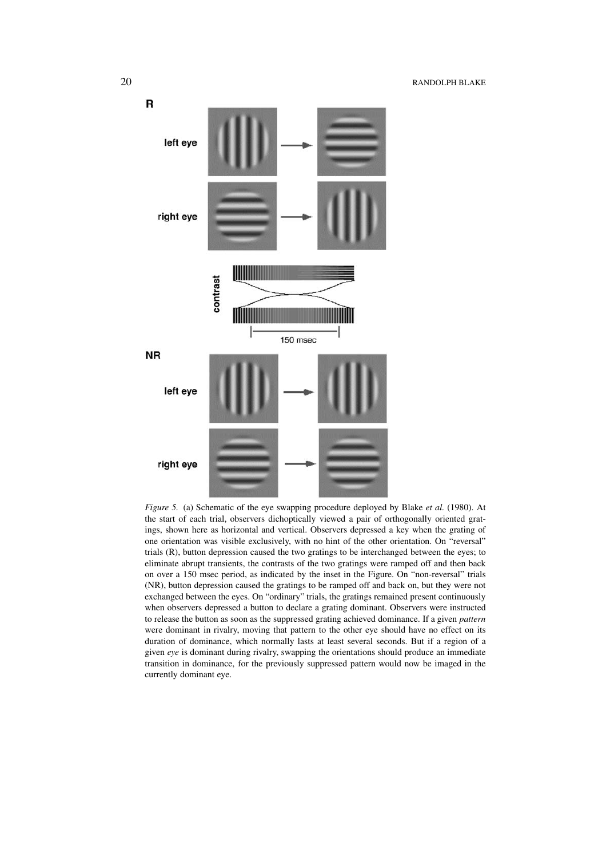

*Figure 5.* (a) Schematic of the eye swapping procedure deployed by Blake *et al.* (1980). At the start of each trial, observers dichoptically viewed a pair of orthogonally oriented gratings, shown here as horizontal and vertical. Observers depressed a key when the grating of one orientation was visible exclusively, with no hint of the other orientation. On "reversal" trials (R), button depression caused the two gratings to be interchanged between the eyes; to eliminate abrupt transients, the contrasts of the two gratings were ramped off and then back on over a 150 msec period, as indicated by the inset in the Figure. On "non-reversal" trials (NR), button depression caused the gratings to be ramped off and back on, but they were not exchanged between the eyes. On "ordinary" trials, the gratings remained present continuously when observers depressed a button to declare a grating dominant. Observers were instructed to release the button as soon as the suppressed grating achieved dominance. If a given *pattern* were dominant in rivalry, moving that pattern to the other eye should have no effect on its duration of dominance, which normally lasts at least several seconds. But if a region of a given *eye* is dominant during rivalry, swapping the orientations should produce an immediate transition in dominance, for the previously suppressed pattern would now be imaged in the currently dominant eye.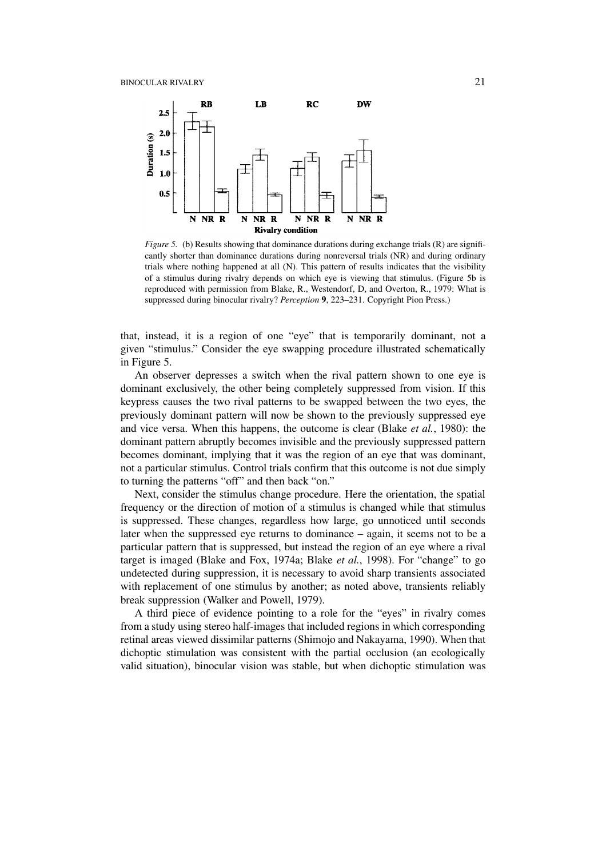

*Figure 5.* (b) Results showing that dominance durations during exchange trials (R) are significantly shorter than dominance durations during nonreversal trials (NR) and during ordinary trials where nothing happened at all (N). This pattern of results indicates that the visibility of a stimulus during rivalry depends on which eye is viewing that stimulus. (Figure 5b is reproduced with permission from Blake, R., Westendorf, D, and Overton, R., 1979: What is suppressed during binocular rivalry? *Perception* **9**, 223–231. Copyright Pion Press.)

that, instead, it is a region of one "eye" that is temporarily dominant, not a given "stimulus." Consider the eye swapping procedure illustrated schematically in Figure 5.

An observer depresses a switch when the rival pattern shown to one eye is dominant exclusively, the other being completely suppressed from vision. If this keypress causes the two rival patterns to be swapped between the two eyes, the previously dominant pattern will now be shown to the previously suppressed eye and vice versa. When this happens, the outcome is clear (Blake *et al.*, 1980): the dominant pattern abruptly becomes invisible and the previously suppressed pattern becomes dominant, implying that it was the region of an eye that was dominant, not a particular stimulus. Control trials confirm that this outcome is not due simply to turning the patterns "off" and then back "on."

Next, consider the stimulus change procedure. Here the orientation, the spatial frequency or the direction of motion of a stimulus is changed while that stimulus is suppressed. These changes, regardless how large, go unnoticed until seconds later when the suppressed eye returns to dominance – again, it seems not to be a particular pattern that is suppressed, but instead the region of an eye where a rival target is imaged (Blake and Fox, 1974a; Blake *et al.*, 1998). For "change" to go undetected during suppression, it is necessary to avoid sharp transients associated with replacement of one stimulus by another; as noted above, transients reliably break suppression (Walker and Powell, 1979).

A third piece of evidence pointing to a role for the "eyes" in rivalry comes from a study using stereo half-images that included regions in which corresponding retinal areas viewed dissimilar patterns (Shimojo and Nakayama, 1990). When that dichoptic stimulation was consistent with the partial occlusion (an ecologically valid situation), binocular vision was stable, but when dichoptic stimulation was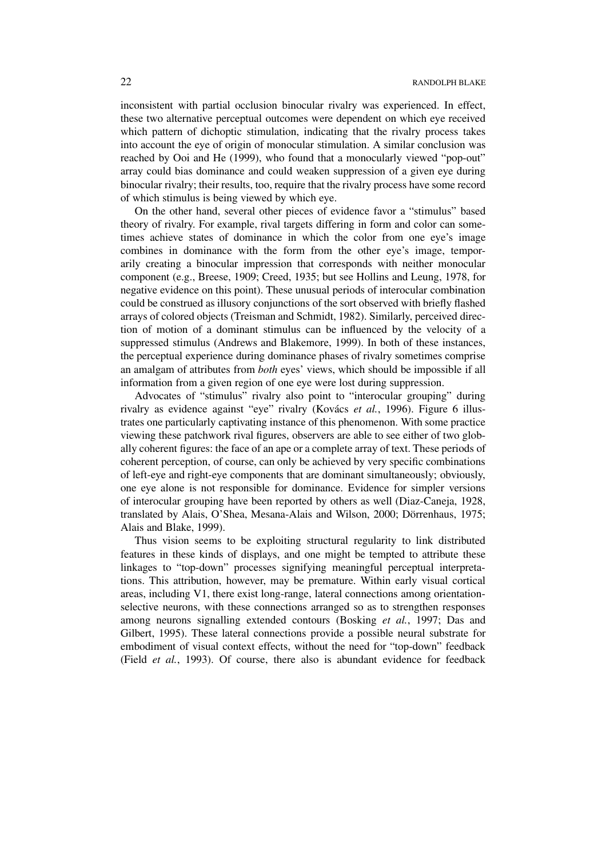inconsistent with partial occlusion binocular rivalry was experienced. In effect, these two alternative perceptual outcomes were dependent on which eye received which pattern of dichoptic stimulation, indicating that the rivalry process takes into account the eye of origin of monocular stimulation. A similar conclusion was reached by Ooi and He (1999), who found that a monocularly viewed "pop-out" array could bias dominance and could weaken suppression of a given eye during binocular rivalry; their results, too, require that the rivalry process have some record of which stimulus is being viewed by which eye.

On the other hand, several other pieces of evidence favor a "stimulus" based theory of rivalry. For example, rival targets differing in form and color can sometimes achieve states of dominance in which the color from one eye's image combines in dominance with the form from the other eye's image, temporarily creating a binocular impression that corresponds with neither monocular component (e.g., Breese, 1909; Creed, 1935; but see Hollins and Leung, 1978, for negative evidence on this point). These unusual periods of interocular combination could be construed as illusory conjunctions of the sort observed with briefly flashed arrays of colored objects (Treisman and Schmidt, 1982). Similarly, perceived direction of motion of a dominant stimulus can be influenced by the velocity of a suppressed stimulus (Andrews and Blakemore, 1999). In both of these instances, the perceptual experience during dominance phases of rivalry sometimes comprise an amalgam of attributes from *both* eyes' views, which should be impossible if all information from a given region of one eye were lost during suppression.

Advocates of "stimulus" rivalry also point to "interocular grouping" during rivalry as evidence against "eye" rivalry (Kovács *et al.*, 1996). Figure 6 illustrates one particularly captivating instance of this phenomenon. With some practice viewing these patchwork rival figures, observers are able to see either of two globally coherent figures: the face of an ape or a complete array of text. These periods of coherent perception, of course, can only be achieved by very specific combinations of left-eye and right-eye components that are dominant simultaneously; obviously, one eye alone is not responsible for dominance. Evidence for simpler versions of interocular grouping have been reported by others as well (Diaz-Caneja, 1928, translated by Alais, O'Shea, Mesana-Alais and Wilson, 2000; Dörrenhaus, 1975; Alais and Blake, 1999).

Thus vision seems to be exploiting structural regularity to link distributed features in these kinds of displays, and one might be tempted to attribute these linkages to "top-down" processes signifying meaningful perceptual interpretations. This attribution, however, may be premature. Within early visual cortical areas, including V1, there exist long-range, lateral connections among orientationselective neurons, with these connections arranged so as to strengthen responses among neurons signalling extended contours (Bosking *et al.*, 1997; Das and Gilbert, 1995). These lateral connections provide a possible neural substrate for embodiment of visual context effects, without the need for "top-down" feedback (Field *et al.*, 1993). Of course, there also is abundant evidence for feedback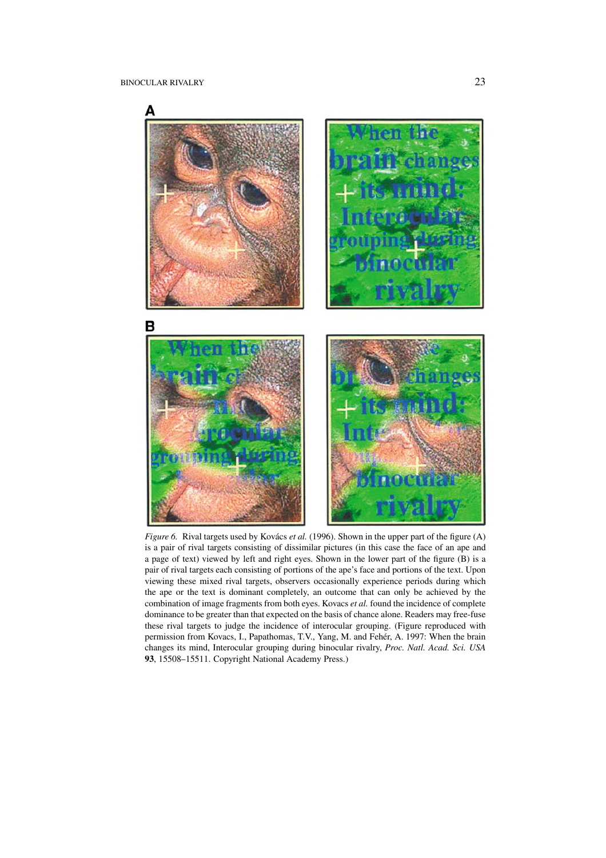

*Figure 6.* Rival targets used by Kovács et al. (1996). Shown in the upper part of the figure (A) is a pair of rival targets consisting of dissimilar pictures (in this case the face of an ape and a page of text) viewed by left and right eyes. Shown in the lower part of the figure (B) is a pair of rival targets each consisting of portions of the ape's face and portions of the text. Upon viewing these mixed rival targets, observers occasionally experience periods during which the ape or the text is dominant completely, an outcome that can only be achieved by the combination of image fragments from both eyes. Kovacs *et al.* found the incidence of complete dominance to be greater than that expected on the basis of chance alone. Readers may free-fuse these rival targets to judge the incidence of interocular grouping. (Figure reproduced with permission from Kovacs, I., Papathomas, T.V., Yang, M. and Fehér, A. 1997: When the brain changes its mind, Interocular grouping during binocular rivalry, *Proc. Natl. Acad. Sci. USA* **93**, 15508–15511. Copyright National Academy Press.)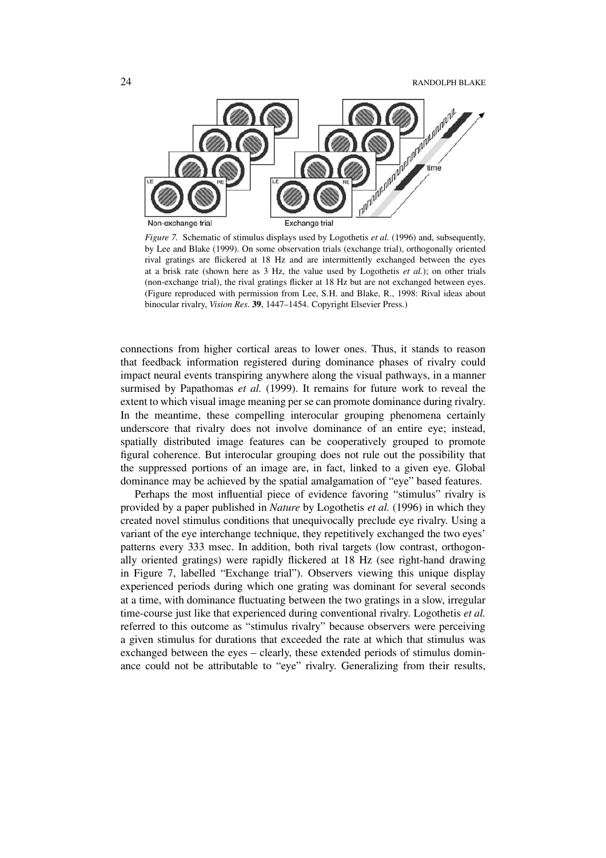

*Figure 7.* Schematic of stimulus displays used by Logothetis *et al.* (1996) and, subsequently, by Lee and Blake (1999). On some observation trials (exchange trial), orthogonally oriented rival gratings are flickered at 18 Hz and are intermittently exchanged between the eyes at a brisk rate (shown here as 3 Hz, the value used by Logothetis *et al.*); on other trials (non-exchange trial), the rival gratings flicker at 18 Hz but are not exchanged between eyes. (Figure reproduced with permission from Lee, S.H. and Blake, R., 1998: Rival ideas about binocular rivalry, *Vision Res*. **39**, 1447–1454. Copyright Elsevier Press.)

connections from higher cortical areas to lower ones. Thus, it stands to reason that feedback information registered during dominance phases of rivalry could impact neural events transpiring anywhere along the visual pathways, in a manner surmised by Papathomas *et al.* (1999). It remains for future work to reveal the extent to which visual image meaning per se can promote dominance during rivalry. In the meantime, these compelling interocular grouping phenomena certainly underscore that rivalry does not involve dominance of an entire eye; instead, spatially distributed image features can be cooperatively grouped to promote figural coherence. But interocular grouping does not rule out the possibility that the suppressed portions of an image are, in fact, linked to a given eye. Global dominance may be achieved by the spatial amalgamation of "eye" based features.

Perhaps the most influential piece of evidence favoring "stimulus" rivalry is provided by a paper published in *Nature* by Logothetis *et al.* (1996) in which they created novel stimulus conditions that unequivocally preclude eye rivalry. Using a variant of the eye interchange technique, they repetitively exchanged the two eyes' patterns every 333 msec. In addition, both rival targets (low contrast, orthogonally oriented gratings) were rapidly flickered at 18 Hz (see right-hand drawing in Figure 7, labelled "Exchange trial"). Observers viewing this unique display experienced periods during which one grating was dominant for several seconds at a time, with dominance fluctuating between the two gratings in a slow, irregular time-course just like that experienced during conventional rivalry. Logothetis *et al.* referred to this outcome as "stimulus rivalry" because observers were perceiving a given stimulus for durations that exceeded the rate at which that stimulus was exchanged between the eyes – clearly, these extended periods of stimulus dominance could not be attributable to "eye" rivalry. Generalizing from their results,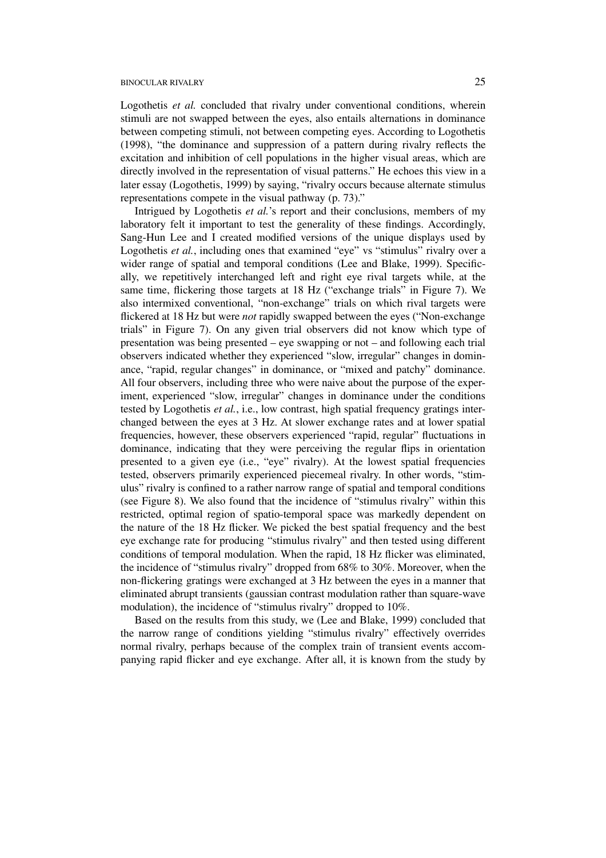Logothetis *et al.* concluded that rivalry under conventional conditions, wherein stimuli are not swapped between the eyes, also entails alternations in dominance between competing stimuli, not between competing eyes. According to Logothetis (1998), "the dominance and suppression of a pattern during rivalry reflects the excitation and inhibition of cell populations in the higher visual areas, which are directly involved in the representation of visual patterns." He echoes this view in a later essay (Logothetis, 1999) by saying, "rivalry occurs because alternate stimulus representations compete in the visual pathway (p. 73)."

Intrigued by Logothetis *et al.*'s report and their conclusions, members of my laboratory felt it important to test the generality of these findings. Accordingly, Sang-Hun Lee and I created modified versions of the unique displays used by Logothetis *et al.*, including ones that examined "eye" vs "stimulus" rivalry over a wider range of spatial and temporal conditions (Lee and Blake, 1999). Specifically, we repetitively interchanged left and right eye rival targets while, at the same time, flickering those targets at 18 Hz ("exchange trials" in Figure 7). We also intermixed conventional, "non-exchange" trials on which rival targets were flickered at 18 Hz but were *not* rapidly swapped between the eyes ("Non-exchange trials" in Figure 7). On any given trial observers did not know which type of presentation was being presented – eye swapping or not – and following each trial observers indicated whether they experienced "slow, irregular" changes in dominance, "rapid, regular changes" in dominance, or "mixed and patchy" dominance. All four observers, including three who were naive about the purpose of the experiment, experienced "slow, irregular" changes in dominance under the conditions tested by Logothetis *et al.*, i.e., low contrast, high spatial frequency gratings interchanged between the eyes at 3 Hz. At slower exchange rates and at lower spatial frequencies, however, these observers experienced "rapid, regular" fluctuations in dominance, indicating that they were perceiving the regular flips in orientation presented to a given eye (i.e., "eye" rivalry). At the lowest spatial frequencies tested, observers primarily experienced piecemeal rivalry. In other words, "stimulus" rivalry is confined to a rather narrow range of spatial and temporal conditions (see Figure 8). We also found that the incidence of "stimulus rivalry" within this restricted, optimal region of spatio-temporal space was markedly dependent on the nature of the 18 Hz flicker. We picked the best spatial frequency and the best eye exchange rate for producing "stimulus rivalry" and then tested using different conditions of temporal modulation. When the rapid, 18 Hz flicker was eliminated, the incidence of "stimulus rivalry" dropped from 68% to 30%. Moreover, when the non-flickering gratings were exchanged at 3 Hz between the eyes in a manner that eliminated abrupt transients (gaussian contrast modulation rather than square-wave modulation), the incidence of "stimulus rivalry" dropped to 10%.

Based on the results from this study, we (Lee and Blake, 1999) concluded that the narrow range of conditions yielding "stimulus rivalry" effectively overrides normal rivalry, perhaps because of the complex train of transient events accompanying rapid flicker and eye exchange. After all, it is known from the study by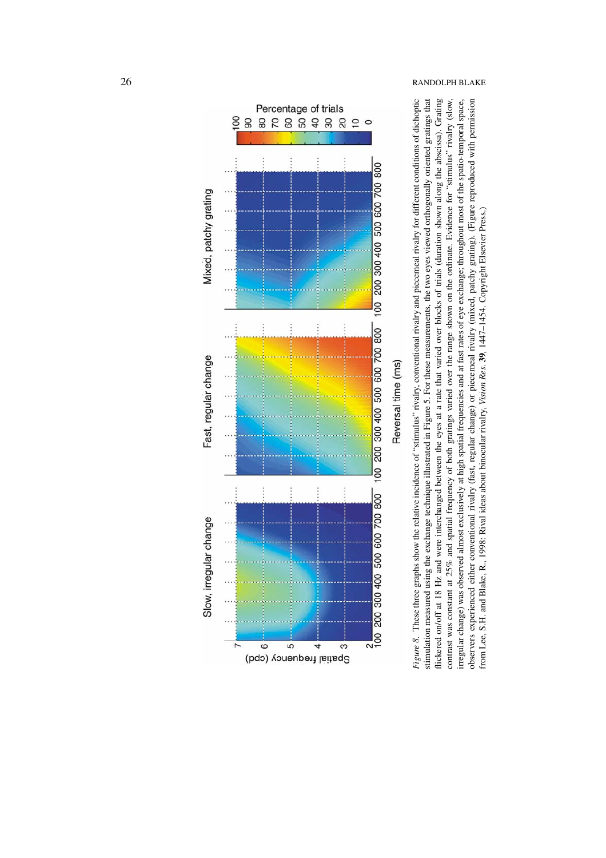

Figure 8. These three graphs show the relative incidence of "stimulus" rivalry, conventional rivalry and piecemeal rivalry for different conditions of dichoptic flickered on/off at 18 Hz and were interchanged between the eyes at a rate that varied over blocks of trials (duration shown along the abscissa). Grating contrast was constant at 25% and spatial frequency of both gratings varied over the range shown on the ordinate. Evidence for "stimulus" rivalry (slow, observers experienced either conventional rivalry (fast, regular change) or piecemeal rivalry (mixed, patchy grating). (Figure reproduced with permission *Figure* 8. These three graphs show the relative incidence of "stimulus" rivalry, conventional rivalry and piecemeal rivalry for different conditions of dichoptic<br>stimulation measured using the exchange technique illustrat stimulation measured using the exchange technique illustrated in Figure 5. For these measurements, the two eyes viewed orthogonally oriented gratings that irregular change) was observed almost exclusively at high spatial frequencies and at fast rates of eye exchange; throughout most of the spatio-temporal space, from Lee, S.H. and Blake, R., 1998: Rival ideas about binocular rivalry, Vision Res. 39, 1447-1454. Copyright Elsevier Press.)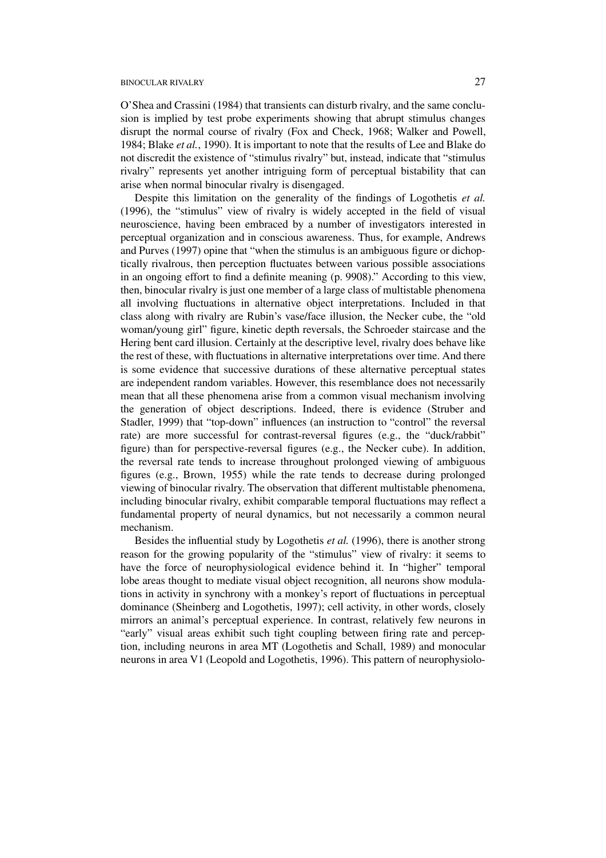O'Shea and Crassini (1984) that transients can disturb rivalry, and the same conclusion is implied by test probe experiments showing that abrupt stimulus changes disrupt the normal course of rivalry (Fox and Check, 1968; Walker and Powell, 1984; Blake *et al.*, 1990). It is important to note that the results of Lee and Blake do not discredit the existence of "stimulus rivalry" but, instead, indicate that "stimulus rivalry" represents yet another intriguing form of perceptual bistability that can arise when normal binocular rivalry is disengaged.

Despite this limitation on the generality of the findings of Logothetis *et al.* (1996), the "stimulus" view of rivalry is widely accepted in the field of visual neuroscience, having been embraced by a number of investigators interested in perceptual organization and in conscious awareness. Thus, for example, Andrews and Purves (1997) opine that "when the stimulus is an ambiguous figure or dichoptically rivalrous, then perception fluctuates between various possible associations in an ongoing effort to find a definite meaning (p. 9908)." According to this view, then, binocular rivalry is just one member of a large class of multistable phenomena all involving fluctuations in alternative object interpretations. Included in that class along with rivalry are Rubin's vase/face illusion, the Necker cube, the "old woman/young girl" figure, kinetic depth reversals, the Schroeder staircase and the Hering bent card illusion. Certainly at the descriptive level, rivalry does behave like the rest of these, with fluctuations in alternative interpretations over time. And there is some evidence that successive durations of these alternative perceptual states are independent random variables. However, this resemblance does not necessarily mean that all these phenomena arise from a common visual mechanism involving the generation of object descriptions. Indeed, there is evidence (Struber and Stadler, 1999) that "top-down" influences (an instruction to "control" the reversal rate) are more successful for contrast-reversal figures (e.g., the "duck/rabbit" figure) than for perspective-reversal figures (e.g., the Necker cube). In addition, the reversal rate tends to increase throughout prolonged viewing of ambiguous figures (e.g., Brown, 1955) while the rate tends to decrease during prolonged viewing of binocular rivalry. The observation that different multistable phenomena, including binocular rivalry, exhibit comparable temporal fluctuations may reflect a fundamental property of neural dynamics, but not necessarily a common neural mechanism.

Besides the influential study by Logothetis *et al.* (1996), there is another strong reason for the growing popularity of the "stimulus" view of rivalry: it seems to have the force of neurophysiological evidence behind it. In "higher" temporal lobe areas thought to mediate visual object recognition, all neurons show modulations in activity in synchrony with a monkey's report of fluctuations in perceptual dominance (Sheinberg and Logothetis, 1997); cell activity, in other words, closely mirrors an animal's perceptual experience. In contrast, relatively few neurons in "early" visual areas exhibit such tight coupling between firing rate and perception, including neurons in area MT (Logothetis and Schall, 1989) and monocular neurons in area V1 (Leopold and Logothetis, 1996). This pattern of neurophysiolo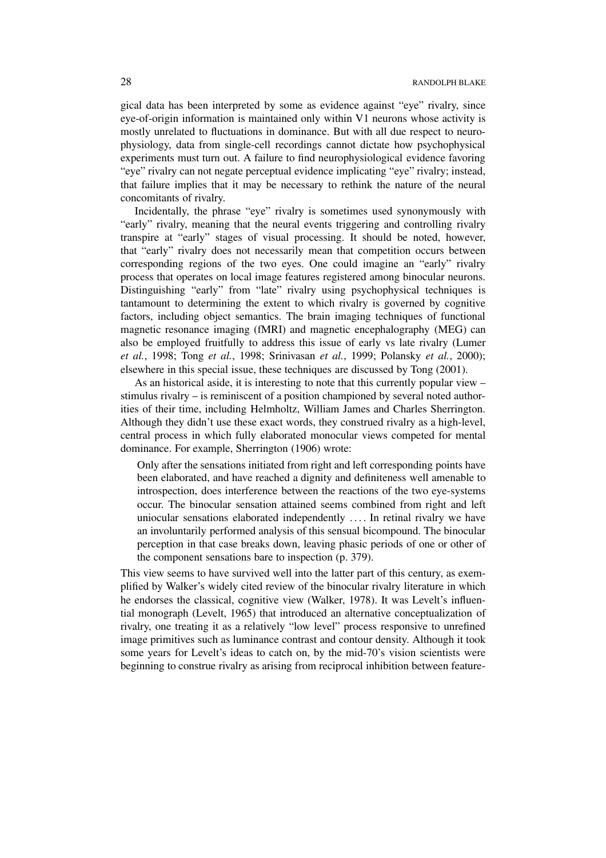gical data has been interpreted by some as evidence against "eye" rivalry, since eye-of-origin information is maintained only within V1 neurons whose activity is mostly unrelated to fluctuations in dominance. But with all due respect to neurophysiology, data from single-cell recordings cannot dictate how psychophysical experiments must turn out. A failure to find neurophysiological evidence favoring "eye" rivalry can not negate perceptual evidence implicating "eye" rivalry; instead, that failure implies that it may be necessary to rethink the nature of the neural concomitants of rivalry.

Incidentally, the phrase "eye" rivalry is sometimes used synonymously with "early" rivalry, meaning that the neural events triggering and controlling rivalry transpire at "early" stages of visual processing. It should be noted, however, that "early" rivalry does not necessarily mean that competition occurs between corresponding regions of the two eyes. One could imagine an "early" rivalry process that operates on local image features registered among binocular neurons. Distinguishing "early" from "late" rivalry using psychophysical techniques is tantamount to determining the extent to which rivalry is governed by cognitive factors, including object semantics. The brain imaging techniques of functional magnetic resonance imaging (fMRI) and magnetic encephalography (MEG) can also be employed fruitfully to address this issue of early vs late rivalry (Lumer *et al.*, 1998; Tong *et al.*, 1998; Srinivasan *et al.*, 1999; Polansky *et al.*, 2000); elsewhere in this special issue, these techniques are discussed by Tong (2001).

As an historical aside, it is interesting to note that this currently popular view – stimulus rivalry – is reminiscent of a position championed by several noted authorities of their time, including Helmholtz, William James and Charles Sherrington. Although they didn't use these exact words, they construed rivalry as a high-level, central process in which fully elaborated monocular views competed for mental dominance. For example, Sherrington (1906) wrote:

Only after the sensations initiated from right and left corresponding points have been elaborated, and have reached a dignity and definiteness well amenable to introspection, does interference between the reactions of the two eye-systems occur. The binocular sensation attained seems combined from right and left uniocular sensations elaborated independently .... In retinal rivalry we have an involuntarily performed analysis of this sensual bicompound. The binocular perception in that case breaks down, leaving phasic periods of one or other of the component sensations bare to inspection (p. 379).

This view seems to have survived well into the latter part of this century, as exemplified by Walker's widely cited review of the binocular rivalry literature in which he endorses the classical, cognitive view (Walker, 1978). It was Levelt's influential monograph (Levelt, 1965) that introduced an alternative conceptualization of rivalry, one treating it as a relatively "low level" process responsive to unrefined image primitives such as luminance contrast and contour density. Although it took some years for Levelt's ideas to catch on, by the mid-70's vision scientists were beginning to construe rivalry as arising from reciprocal inhibition between feature-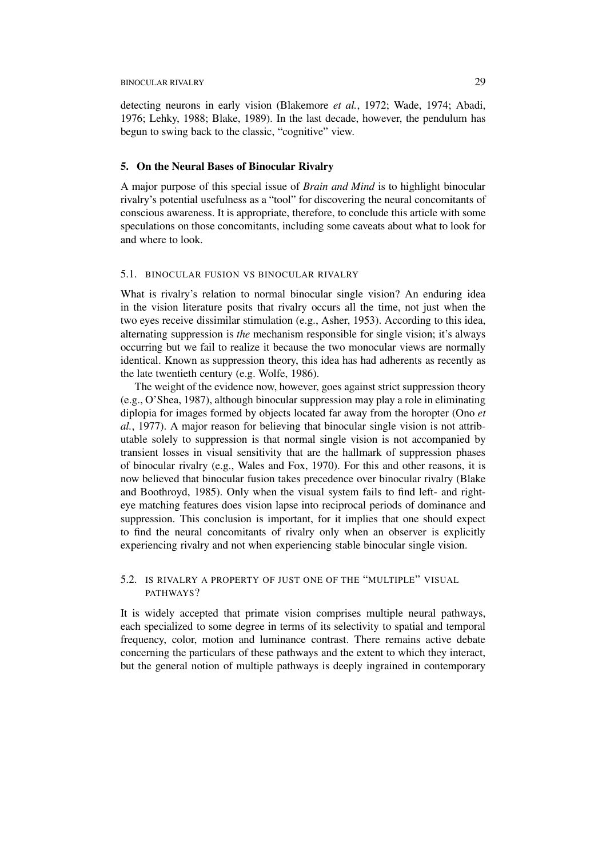detecting neurons in early vision (Blakemore *et al.*, 1972; Wade, 1974; Abadi, 1976; Lehky, 1988; Blake, 1989). In the last decade, however, the pendulum has begun to swing back to the classic, "cognitive" view.

## **5. On the Neural Bases of Binocular Rivalry**

A major purpose of this special issue of *Brain and Mind* is to highlight binocular rivalry's potential usefulness as a "tool" for discovering the neural concomitants of conscious awareness. It is appropriate, therefore, to conclude this article with some speculations on those concomitants, including some caveats about what to look for and where to look.

## 5.1. BINOCULAR FUSION VS BINOCULAR RIVALRY

What is rivalry's relation to normal binocular single vision? An enduring idea in the vision literature posits that rivalry occurs all the time, not just when the two eyes receive dissimilar stimulation (e.g., Asher, 1953). According to this idea, alternating suppression is *the* mechanism responsible for single vision; it's always occurring but we fail to realize it because the two monocular views are normally identical. Known as suppression theory, this idea has had adherents as recently as the late twentieth century (e.g. Wolfe, 1986).

The weight of the evidence now, however, goes against strict suppression theory (e.g., O'Shea, 1987), although binocular suppression may play a role in eliminating diplopia for images formed by objects located far away from the horopter (Ono *et al.*, 1977). A major reason for believing that binocular single vision is not attributable solely to suppression is that normal single vision is not accompanied by transient losses in visual sensitivity that are the hallmark of suppression phases of binocular rivalry (e.g., Wales and Fox, 1970). For this and other reasons, it is now believed that binocular fusion takes precedence over binocular rivalry (Blake and Boothroyd, 1985). Only when the visual system fails to find left- and righteye matching features does vision lapse into reciprocal periods of dominance and suppression. This conclusion is important, for it implies that one should expect to find the neural concomitants of rivalry only when an observer is explicitly experiencing rivalry and not when experiencing stable binocular single vision.

# 5.2. IS RIVALRY A PROPERTY OF JUST ONE OF THE "MULTIPLE" VISUAL PATHWAYS?

It is widely accepted that primate vision comprises multiple neural pathways, each specialized to some degree in terms of its selectivity to spatial and temporal frequency, color, motion and luminance contrast. There remains active debate concerning the particulars of these pathways and the extent to which they interact, but the general notion of multiple pathways is deeply ingrained in contemporary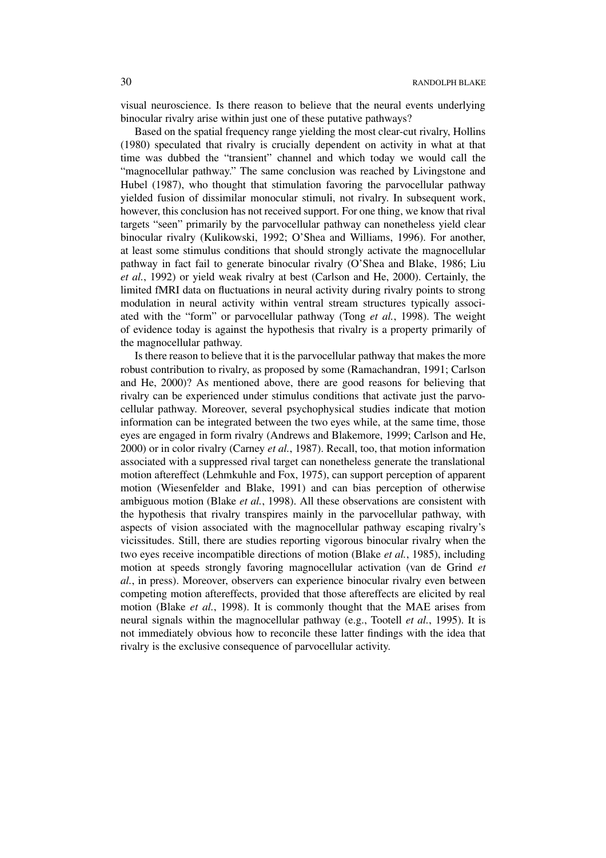visual neuroscience. Is there reason to believe that the neural events underlying binocular rivalry arise within just one of these putative pathways?

Based on the spatial frequency range yielding the most clear-cut rivalry, Hollins (1980) speculated that rivalry is crucially dependent on activity in what at that time was dubbed the "transient" channel and which today we would call the "magnocellular pathway." The same conclusion was reached by Livingstone and Hubel (1987), who thought that stimulation favoring the parvocellular pathway yielded fusion of dissimilar monocular stimuli, not rivalry. In subsequent work, however, this conclusion has not received support. For one thing, we know that rival targets "seen" primarily by the parvocellular pathway can nonetheless yield clear binocular rivalry (Kulikowski, 1992; O'Shea and Williams, 1996). For another, at least some stimulus conditions that should strongly activate the magnocellular pathway in fact fail to generate binocular rivalry (O'Shea and Blake, 1986; Liu *et al.*, 1992) or yield weak rivalry at best (Carlson and He, 2000). Certainly, the limited fMRI data on fluctuations in neural activity during rivalry points to strong modulation in neural activity within ventral stream structures typically associated with the "form" or parvocellular pathway (Tong *et al.*, 1998). The weight of evidence today is against the hypothesis that rivalry is a property primarily of the magnocellular pathway.

Is there reason to believe that it is the parvocellular pathway that makes the more robust contribution to rivalry, as proposed by some (Ramachandran, 1991; Carlson and He, 2000)? As mentioned above, there are good reasons for believing that rivalry can be experienced under stimulus conditions that activate just the parvocellular pathway. Moreover, several psychophysical studies indicate that motion information can be integrated between the two eyes while, at the same time, those eyes are engaged in form rivalry (Andrews and Blakemore, 1999; Carlson and He, 2000) or in color rivalry (Carney *et al.*, 1987). Recall, too, that motion information associated with a suppressed rival target can nonetheless generate the translational motion aftereffect (Lehmkuhle and Fox, 1975), can support perception of apparent motion (Wiesenfelder and Blake, 1991) and can bias perception of otherwise ambiguous motion (Blake *et al.*, 1998). All these observations are consistent with the hypothesis that rivalry transpires mainly in the parvocellular pathway, with aspects of vision associated with the magnocellular pathway escaping rivalry's vicissitudes. Still, there are studies reporting vigorous binocular rivalry when the two eyes receive incompatible directions of motion (Blake *et al.*, 1985), including motion at speeds strongly favoring magnocellular activation (van de Grind *et al.*, in press). Moreover, observers can experience binocular rivalry even between competing motion aftereffects, provided that those aftereffects are elicited by real motion (Blake *et al.*, 1998). It is commonly thought that the MAE arises from neural signals within the magnocellular pathway (e.g., Tootell *et al.*, 1995). It is not immediately obvious how to reconcile these latter findings with the idea that rivalry is the exclusive consequence of parvocellular activity.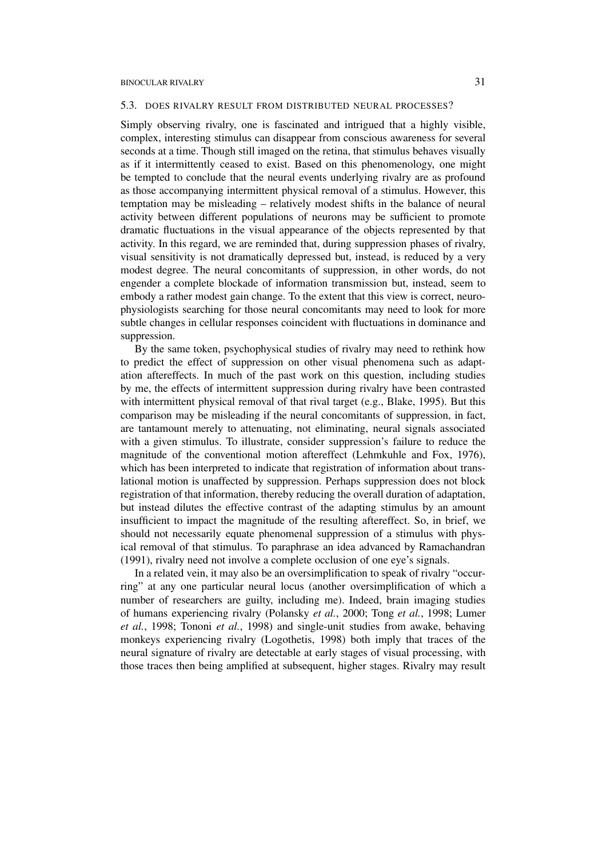#### 5.3. DOES RIVALRY RESULT FROM DISTRIBUTED NEURAL PROCESSES?

Simply observing rivalry, one is fascinated and intrigued that a highly visible, complex, interesting stimulus can disappear from conscious awareness for several seconds at a time. Though still imaged on the retina, that stimulus behaves visually as if it intermittently ceased to exist. Based on this phenomenology, one might be tempted to conclude that the neural events underlying rivalry are as profound as those accompanying intermittent physical removal of a stimulus. However, this temptation may be misleading – relatively modest shifts in the balance of neural activity between different populations of neurons may be sufficient to promote dramatic fluctuations in the visual appearance of the objects represented by that activity. In this regard, we are reminded that, during suppression phases of rivalry, visual sensitivity is not dramatically depressed but, instead, is reduced by a very modest degree. The neural concomitants of suppression, in other words, do not engender a complete blockade of information transmission but, instead, seem to embody a rather modest gain change. To the extent that this view is correct, neurophysiologists searching for those neural concomitants may need to look for more subtle changes in cellular responses coincident with fluctuations in dominance and suppression.

By the same token, psychophysical studies of rivalry may need to rethink how to predict the effect of suppression on other visual phenomena such as adaptation aftereffects. In much of the past work on this question, including studies by me, the effects of intermittent suppression during rivalry have been contrasted with intermittent physical removal of that rival target (e.g., Blake, 1995). But this comparison may be misleading if the neural concomitants of suppression, in fact, are tantamount merely to attenuating, not eliminating, neural signals associated with a given stimulus. To illustrate, consider suppression's failure to reduce the magnitude of the conventional motion aftereffect (Lehmkuhle and Fox, 1976), which has been interpreted to indicate that registration of information about translational motion is unaffected by suppression. Perhaps suppression does not block registration of that information, thereby reducing the overall duration of adaptation, but instead dilutes the effective contrast of the adapting stimulus by an amount insufficient to impact the magnitude of the resulting aftereffect. So, in brief, we should not necessarily equate phenomenal suppression of a stimulus with physical removal of that stimulus. To paraphrase an idea advanced by Ramachandran (1991), rivalry need not involve a complete occlusion of one eye's signals.

In a related vein, it may also be an oversimplification to speak of rivalry "occurring" at any one particular neural locus (another oversimplification of which a number of researchers are guilty, including me). Indeed, brain imaging studies of humans experiencing rivalry (Polansky *et al.*, 2000; Tong *et al.*, 1998; Lumer *et al.*, 1998; Tononi *et al.*, 1998) and single-unit studies from awake, behaving monkeys experiencing rivalry (Logothetis, 1998) both imply that traces of the neural signature of rivalry are detectable at early stages of visual processing, with those traces then being amplified at subsequent, higher stages. Rivalry may result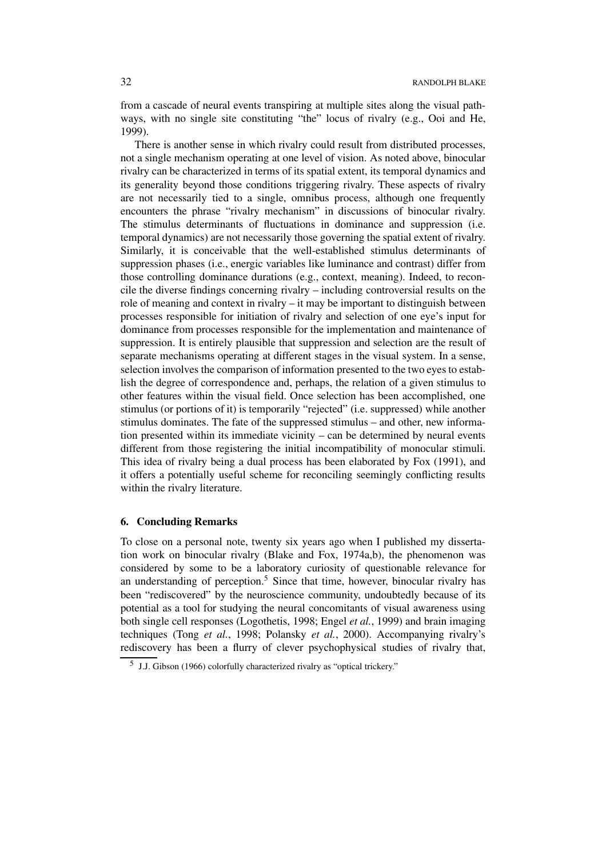from a cascade of neural events transpiring at multiple sites along the visual pathways, with no single site constituting "the" locus of rivalry (e.g., Ooi and He, 1999).

There is another sense in which rivalry could result from distributed processes, not a single mechanism operating at one level of vision. As noted above, binocular rivalry can be characterized in terms of its spatial extent, its temporal dynamics and its generality beyond those conditions triggering rivalry. These aspects of rivalry are not necessarily tied to a single, omnibus process, although one frequently encounters the phrase "rivalry mechanism" in discussions of binocular rivalry. The stimulus determinants of fluctuations in dominance and suppression (i.e. temporal dynamics) are not necessarily those governing the spatial extent of rivalry. Similarly, it is conceivable that the well-established stimulus determinants of suppression phases (i.e., energic variables like luminance and contrast) differ from those controlling dominance durations (e.g., context, meaning). Indeed, to reconcile the diverse findings concerning rivalry – including controversial results on the role of meaning and context in rivalry – it may be important to distinguish between processes responsible for initiation of rivalry and selection of one eye's input for dominance from processes responsible for the implementation and maintenance of suppression. It is entirely plausible that suppression and selection are the result of separate mechanisms operating at different stages in the visual system. In a sense, selection involves the comparison of information presented to the two eyes to establish the degree of correspondence and, perhaps, the relation of a given stimulus to other features within the visual field. Once selection has been accomplished, one stimulus (or portions of it) is temporarily "rejected" (i.e. suppressed) while another stimulus dominates. The fate of the suppressed stimulus – and other, new information presented within its immediate vicinity – can be determined by neural events different from those registering the initial incompatibility of monocular stimuli. This idea of rivalry being a dual process has been elaborated by Fox (1991), and it offers a potentially useful scheme for reconciling seemingly conflicting results within the rivalry literature.

#### **6. Concluding Remarks**

To close on a personal note, twenty six years ago when I published my dissertation work on binocular rivalry (Blake and Fox, 1974a,b), the phenomenon was considered by some to be a laboratory curiosity of questionable relevance for an understanding of perception.<sup>5</sup> Since that time, however, binocular rivalry has been "rediscovered" by the neuroscience community, undoubtedly because of its potential as a tool for studying the neural concomitants of visual awareness using both single cell responses (Logothetis, 1998; Engel *et al.*, 1999) and brain imaging techniques (Tong *et al.*, 1998; Polansky *et al.*, 2000). Accompanying rivalry's rediscovery has been a flurry of clever psychophysical studies of rivalry that,

<sup>5</sup> J.J. Gibson (1966) colorfully characterized rivalry as "optical trickery."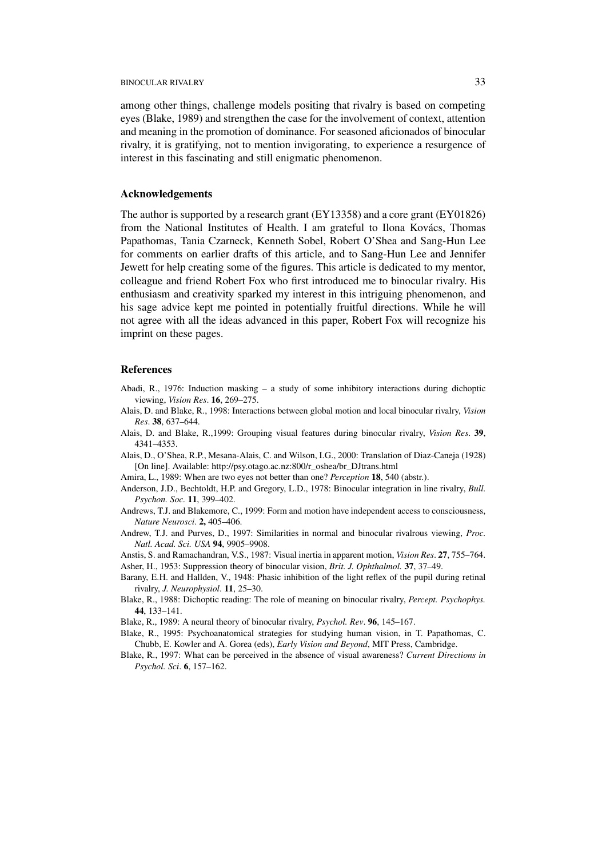among other things, challenge models positing that rivalry is based on competing eyes (Blake, 1989) and strengthen the case for the involvement of context, attention and meaning in the promotion of dominance. For seasoned aficionados of binocular rivalry, it is gratifying, not to mention invigorating, to experience a resurgence of interest in this fascinating and still enigmatic phenomenon.

#### **Acknowledgements**

The author is supported by a research grant (EY13358) and a core grant (EY01826) from the National Institutes of Health. I am grateful to Ilona Kovács, Thomas Papathomas, Tania Czarneck, Kenneth Sobel, Robert O'Shea and Sang-Hun Lee for comments on earlier drafts of this article, and to Sang-Hun Lee and Jennifer Jewett for help creating some of the figures. This article is dedicated to my mentor, colleague and friend Robert Fox who first introduced me to binocular rivalry. His enthusiasm and creativity sparked my interest in this intriguing phenomenon, and his sage advice kept me pointed in potentially fruitful directions. While he will not agree with all the ideas advanced in this paper, Robert Fox will recognize his imprint on these pages.

#### **References**

- Abadi, R., 1976: Induction masking a study of some inhibitory interactions during dichoptic viewing, *Vision Res*. **16**, 269–275.
- Alais, D. and Blake, R., 1998: Interactions between global motion and local binocular rivalry, *Vision Res*. **38**, 637–644.
- Alais, D. and Blake, R.,1999: Grouping visual features during binocular rivalry, *Vision Res*. **39**, 4341–4353.
- Alais, D., O'Shea, R.P., Mesana-Alais, C. and Wilson, I.G., 2000: Translation of Diaz-Caneja (1928) [On line]. Available: http://psy.otago.ac.nz:800/r\_oshea/br\_DJtrans.html
- Amira, L., 1989: When are two eyes not better than one? *Perception* **18**, 540 (abstr.).
- Anderson, J.D., Bechtoldt, H.P. and Gregory, L.D., 1978: Binocular integration in line rivalry, *Bull. Psychon. Soc.* **11**, 399–402.
- Andrews, T.J. and Blakemore, C., 1999: Form and motion have independent access to consciousness, *Nature Neurosci*. **2,** 405–406.
- Andrew, T.J. and Purves, D., 1997: Similarities in normal and binocular rivalrous viewing, *Proc. Natl. Acad. Sci. USA* **94**, 9905–9908.

Anstis, S. and Ramachandran, V.S., 1987: Visual inertia in apparent motion, *Vision Res*. **27**, 755–764. Asher, H., 1953: Suppression theory of binocular vision, *Brit. J. Ophthalmol.* **37**, 37–49.

- Barany, E.H. and Hallden, V., 1948: Phasic inhibition of the light reflex of the pupil during retinal rivalry, *J. Neurophysiol*. **11**, 25–30.
- Blake, R., 1988: Dichoptic reading: The role of meaning on binocular rivalry, *Percept. Psychophys.* **44**, 133–141.
- Blake, R., 1989: A neural theory of binocular rivalry, *Psychol. Rev*. **96**, 145–167.
- Blake, R., 1995: Psychoanatomical strategies for studying human vision, in T. Papathomas, C. Chubb, E. Kowler and A. Gorea (eds), *Early Vision and Beyond*, MIT Press, Cambridge.
- Blake, R., 1997: What can be perceived in the absence of visual awareness? *Current Directions in Psychol. Sci*. **6**, 157–162.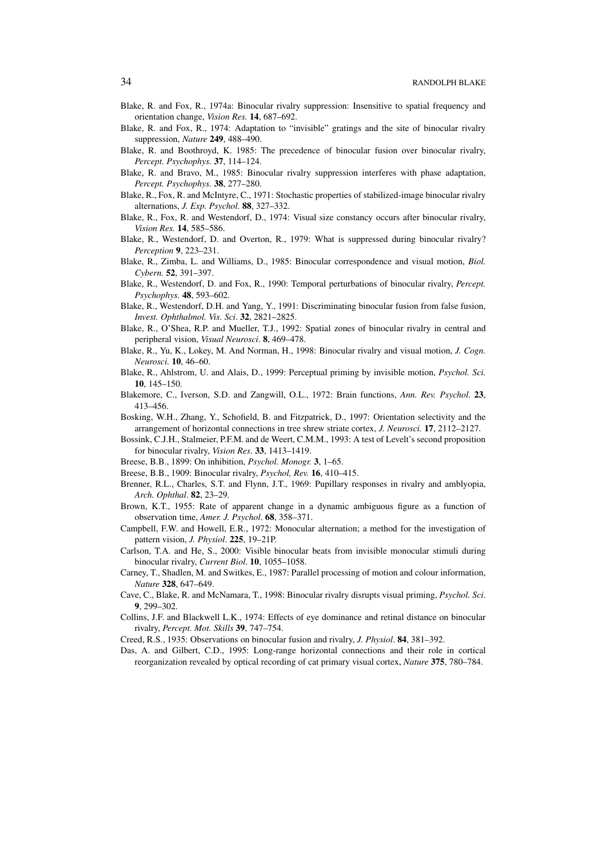- Blake, R. and Fox, R., 1974a: Binocular rivalry suppression: Insensitive to spatial frequency and orientation change, *Vision Res.* **14**, 687–692.
- Blake, R. and Fox, R., 1974: Adaptation to "invisible" gratings and the site of binocular rivalry suppression, *Nature* **249**, 488–490.
- Blake, R. and Boothroyd, K. 1985: The precedence of binocular fusion over binocular rivalry, *Percept. Psychophys.* **37**, 114–124.
- Blake, R. and Bravo, M., 1985: Binocular rivalry suppression interferes with phase adaptation, *Percept. Psychophys.* **38**, 277–280.
- Blake, R., Fox, R. and McIntyre, C., 1971: Stochastic properties of stabilized-image binocular rivalry alternations, *J. Exp. Psychol.* **88**, 327–332.
- Blake, R., Fox, R. and Westendorf, D., 1974: Visual size constancy occurs after binocular rivalry, *Vision Res.* **14**, 585–586.
- Blake, R., Westendorf, D. and Overton, R., 1979: What is suppressed during binocular rivalry? *Perception* **9**, 223–231.
- Blake, R., Zimba, L. and Williams, D., 1985: Binocular correspondence and visual motion, *Biol. Cybern.* **52**, 391–397.
- Blake, R., Westendorf, D. and Fox, R., 1990: Temporal perturbations of binocular rivalry, *Percept. Psychophys.* **48**, 593–602.
- Blake, R., Westendorf, D.H. and Yang, Y., 1991: Discriminating binocular fusion from false fusion, *Invest. Ophthalmol. Vis. Sci*. **32**, 2821–2825.
- Blake, R., O'Shea, R.P. and Mueller, T.J., 1992: Spatial zones of binocular rivalry in central and peripheral vision, *Visual Neurosci*. **8**, 469–478.
- Blake, R., Yu, K., Lokey, M. And Norman, H., 1998: Binocular rivalry and visual motion, *J. Cogn. Neurosci.* **10**, 46–60.
- Blake, R., Ahlstrom, U. and Alais, D., 1999: Perceptual priming by invisible motion, *Psychol. Sci.* **10**, 145–150.
- Blakemore, C., Iverson, S.D. and Zangwill, O.L., 1972: Brain functions, *Ann. Rev. Psychol*. **23**, 413–456.
- Bosking, W.H., Zhang, Y., Schofield, B. and Fitzpatrick, D., 1997: Orientation selectivity and the arrangement of horizontal connections in tree shrew striate cortex, *J. Neurosci.* **17**, 2112–2127.
- Bossink, C.J.H., Stalmeier, P.F.M. and de Weert, C.M.M., 1993: A test of Levelt's second proposition for binocular rivalry, *Vision Res*. **33**, 1413–1419.
- Breese, B.B., 1899: On inhibition, *Psychol. Monogr.* **3**, 1–65.
- Breese, B.B., 1909: Binocular rivalry, *Psychol, Rev.* **16**, 410–415.
- Brenner, R.L., Charles, S.T. and Flynn, J.T., 1969: Pupillary responses in rivalry and amblyopia, *Arch. Ophthal*. **82**, 23–29.
- Brown, K.T., 1955: Rate of apparent change in a dynamic ambiguous figure as a function of observation time, *Amer. J. Psychol*. **68**, 358–371.
- Campbell, F.W. and Howell, E.R., 1972: Monocular alternation; a method for the investigation of pattern vision, *J. Physiol*. **225**, 19–21P.
- Carlson, T.A. and He, S., 2000: Visible binocular beats from invisible monocular stimuli during binocular rivalry, *Current Biol*. **10**, 1055–1058.
- Carney, T., Shadlen, M. and Switkes, E., 1987: Parallel processing of motion and colour information, *Nature* **328**, 647–649.
- Cave, C., Blake, R. and McNamara, T., 1998: Binocular rivalry disrupts visual priming, *Psychol. Sci*. **9**, 299–302.
- Collins, J.F. and Blackwell L.K., 1974: Effects of eye dominance and retinal distance on binocular rivalry, *Percept. Mot. Skills* **39**, 747–754.
- Creed, R.S., 1935: Observations on binocular fusion and rivalry, *J. Physiol*. **84**, 381–392.
- Das, A. and Gilbert, C.D., 1995: Long-range horizontal connections and their role in cortical reorganization revealed by optical recording of cat primary visual cortex, *Nature* **375**, 780–784.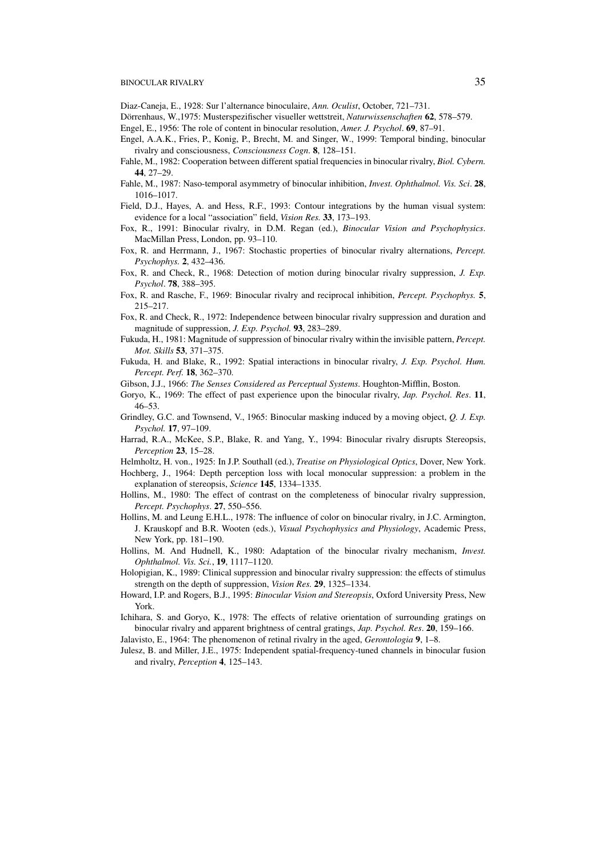- Diaz-Caneja, E., 1928: Sur l'alternance binoculaire, *Ann. Oculist*, October, 721–731.
- Dörrenhaus, W.,1975: Musterspezifischer visueller wettstreit, *Naturwissenschaften* **62**, 578–579.
- Engel, E., 1956: The role of content in binocular resolution, *Amer. J. Psychol*. **69**, 87–91.
- Engel, A.A.K., Fries, P., Konig, P., Brecht, M. and Singer, W., 1999: Temporal binding, binocular rivalry and consciousness, *Consciousness Cogn*. **8**, 128–151.
- Fahle, M., 1982: Cooperation between different spatial frequencies in binocular rivalry, *Biol. Cybern.* **44**, 27–29.
- Fahle, M., 1987: Naso-temporal asymmetry of binocular inhibition, *Invest. Ophthalmol. Vis. Sci*. **28**, 1016–1017.
- Field, D.J., Hayes, A. and Hess, R.F., 1993: Contour integrations by the human visual system: evidence for a local "association" field, *Vision Res.* **33**, 173–193.
- Fox, R., 1991: Binocular rivalry, in D.M. Regan (ed.), *Binocular Vision and Psychophysics*. MacMillan Press, London, pp. 93–110.
- Fox, R. and Herrmann, J., 1967: Stochastic properties of binocular rivalry alternations, *Percept. Psychophys.* **2**, 432–436.
- Fox, R. and Check, R., 1968: Detection of motion during binocular rivalry suppression, *J. Exp. Psychol*. **78**, 388–395.
- Fox, R. and Rasche, F., 1969: Binocular rivalry and reciprocal inhibition, *Percept. Psychophys.* **5**, 215–217.
- Fox, R. and Check, R., 1972: Independence between binocular rivalry suppression and duration and magnitude of suppression, *J. Exp. Psychol.* **93**, 283–289.
- Fukuda, H., 1981: Magnitude of suppression of binocular rivalry within the invisible pattern, *Percept. Mot. Skills* **53**, 371–375.
- Fukuda, H. and Blake, R., 1992: Spatial interactions in binocular rivalry, *J. Exp. Psychol. Hum. Percept. Perf.* **18**, 362–370.
- Gibson, J.J., 1966: *The Senses Considered as Perceptual Systems*. Houghton-Mifflin, Boston.
- Goryo, K., 1969: The effect of past experience upon the binocular rivalry, *Jap. Psychol. Res*. **11**, 46–53.
- Grindley, G.C. and Townsend, V., 1965: Binocular masking induced by a moving object, *Q. J. Exp. Psychol.* **17**, 97–109.
- Harrad, R.A., McKee, S.P., Blake, R. and Yang, Y., 1994: Binocular rivalry disrupts Stereopsis, *Perception* **23**, 15–28.
- Helmholtz, H. von., 1925: In J.P. Southall (ed.), *Treatise on Physiological Optics*, Dover, New York.
- Hochberg, J., 1964: Depth perception loss with local monocular suppression: a problem in the explanation of stereopsis, *Science* **145**, 1334–1335.
- Hollins, M., 1980: The effect of contrast on the completeness of binocular rivalry suppression, *Percept. Psychophys*. **27**, 550–556.
- Hollins, M. and Leung E.H.L., 1978: The influence of color on binocular rivalry, in J.C. Armington, J. Krauskopf and B.R. Wooten (eds.), *Visual Psychophysics and Physiology*, Academic Press, New York, pp. 181–190.
- Hollins, M. And Hudnell, K., 1980: Adaptation of the binocular rivalry mechanism, *Invest. Ophthalmol. Vis. Sci.*, **19**, 1117–1120.
- Holopigian, K., 1989: Clinical suppression and binocular rivalry suppression: the effects of stimulus strength on the depth of suppression, *Vision Res.* **29**, 1325–1334.
- Howard, I.P. and Rogers, B.J., 1995: *Binocular Vision and Stereopsis*, Oxford University Press, New York.
- Ichihara, S. and Goryo, K., 1978: The effects of relative orientation of surrounding gratings on binocular rivalry and apparent brightness of central gratings, *Jap. Psychol. Res*. **20**, 159–166.
- Jalavisto, E., 1964: The phenomenon of retinal rivalry in the aged, *Gerontologia* **9**, 1–8.
- Julesz, B. and Miller, J.E., 1975: Independent spatial-frequency-tuned channels in binocular fusion and rivalry, *Perception* **4**, 125–143.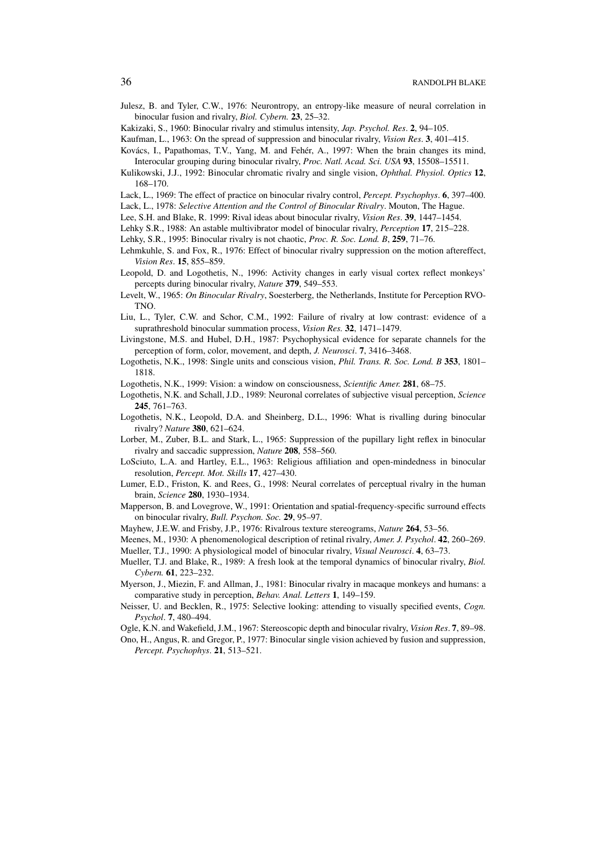- Julesz, B. and Tyler, C.W., 1976: Neurontropy, an entropy-like measure of neural correlation in binocular fusion and rivalry, *Biol. Cybern.* **23**, 25–32.
- Kakizaki, S., 1960: Binocular rivalry and stimulus intensity, *Jap. Psychol. Res*. **2**, 94–105.

Kaufman, L., 1963: On the spread of suppression and binocular rivalry, *Vision Res*. **3**, 401–415.

- Kovács, I., Papathomas, T.V., Yang, M. and Fehér, A., 1997: When the brain changes its mind, Interocular grouping during binocular rivalry, *Proc. Natl. Acad. Sci. USA* **93**, 15508–15511.
- Kulikowski, J.J., 1992: Binocular chromatic rivalry and single vision, *Ophthal. Physiol. Optics* **12**, 168–170.
- Lack, L., 1969: The effect of practice on binocular rivalry control, *Percept. Psychophys*. **6**, 397–400.
- Lack, L., 1978: *Selective Attention and the Control of Binocular Rivalry*. Mouton, The Hague.
- Lee, S.H. and Blake, R. 1999: Rival ideas about binocular rivalry, *Vision Res*. **39**, 1447–1454.
- Lehky S.R., 1988: An astable multivibrator model of binocular rivalry, *Perception* **17**, 215–228.
- Lehky, S.R., 1995: Binocular rivalry is not chaotic, *Proc. R. Soc. Lond. B*, **259**, 71–76.
- Lehmkuhle, S. and Fox, R., 1976: Effect of binocular rivalry suppression on the motion aftereffect, *Vision Res*. **15**, 855–859.
- Leopold, D. and Logothetis, N., 1996: Activity changes in early visual cortex reflect monkeys' percepts during binocular rivalry, *Nature* **379**, 549–553.
- Levelt, W., 1965: *On Binocular Rivalry*, Soesterberg, the Netherlands, Institute for Perception RVO-TNO.
- Liu, L., Tyler, C.W. and Schor, C.M., 1992: Failure of rivalry at low contrast: evidence of a suprathreshold binocular summation process, *Vision Res.* **32**, 1471–1479.
- Livingstone, M.S. and Hubel, D.H., 1987: Psychophysical evidence for separate channels for the perception of form, color, movement, and depth, *J. Neurosci*. **7**, 3416–3468.
- Logothetis, N.K., 1998: Single units and conscious vision, *Phil. Trans. R. Soc. Lond. B* **353**, 1801– 1818.
- Logothetis, N.K., 1999: Vision: a window on consciousness, *Scientific Amer.* **281**, 68–75.
- Logothetis, N.K. and Schall, J.D., 1989: Neuronal correlates of subjective visual perception, *Science* **245**, 761–763.
- Logothetis, N.K., Leopold, D.A. and Sheinberg, D.L., 1996: What is rivalling during binocular rivalry? *Nature* **380**, 621–624.
- Lorber, M., Zuber, B.L. and Stark, L., 1965: Suppression of the pupillary light reflex in binocular rivalry and saccadic suppression, *Nature* **208**, 558–560.
- LoSciuto, L.A. and Hartley, E.L., 1963: Religious affiliation and open-mindedness in binocular resolution, *Percept. Mot. Skills* **17**, 427–430.
- Lumer, E.D., Friston, K. and Rees, G., 1998: Neural correlates of perceptual rivalry in the human brain, *Science* **280**, 1930–1934.
- Mapperson, B. and Lovegrove, W., 1991: Orientation and spatial-frequency-specific surround effects on binocular rivalry, *Bull. Psychon. Soc.* **29**, 95–97.
- Mayhew, J.E.W. and Frisby, J.P., 1976: Rivalrous texture stereograms, *Nature* **264**, 53–56.
- Meenes, M., 1930: A phenomenological description of retinal rivalry, *Amer. J. Psychol*. **42**, 260–269.
- Mueller, T.J., 1990: A physiological model of binocular rivalry, *Visual Neurosci*. **4**, 63–73.
- Mueller, T.J. and Blake, R., 1989: A fresh look at the temporal dynamics of binocular rivalry, *Biol. Cybern.* **61**, 223–232.
- Myerson, J., Miezin, F. and Allman, J., 1981: Binocular rivalry in macaque monkeys and humans: a comparative study in perception, *Behav. Anal. Letters* **1**, 149–159.
- Neisser, U. and Becklen, R., 1975: Selective looking: attending to visually specified events, *Cogn. Psychol*. **7**, 480–494.
- Ogle, K.N. and Wakefield, J.M., 1967: Stereoscopic depth and binocular rivalry, *Vision Res*. **7**, 89–98.
- Ono, H., Angus, R. and Gregor, P., 1977: Binocular single vision achieved by fusion and suppression, *Percept. Psychophys*. **21**, 513–521.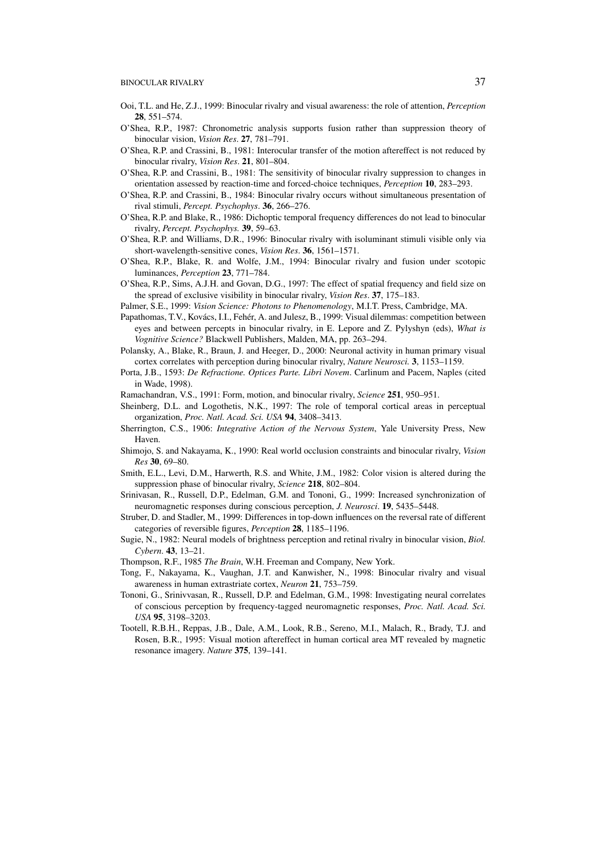- Ooi, T.L. and He, Z.J., 1999: Binocular rivalry and visual awareness: the role of attention, *Perception* **28**, 551–574.
- O'Shea, R.P., 1987: Chronometric analysis supports fusion rather than suppression theory of binocular vision, *Vision Res*. **27**, 781–791.
- O'Shea, R.P. and Crassini, B., 1981: Interocular transfer of the motion aftereffect is not reduced by binocular rivalry, *Vision Res*. **21**, 801–804.
- O'Shea, R.P. and Crassini, B., 1981: The sensitivity of binocular rivalry suppression to changes in orientation assessed by reaction-time and forced-choice techniques, *Perception* **10**, 283–293.
- O'Shea, R.P. and Crassini, B., 1984: Binocular rivalry occurs without simultaneous presentation of rival stimuli, *Percept. Psychophys*. **36**, 266–276.
- O'Shea, R.P. and Blake, R., 1986: Dichoptic temporal frequency differences do not lead to binocular rivalry, *Percept. Psychophys.* **39**, 59–63.
- O'Shea, R.P. and Williams, D.R., 1996: Binocular rivalry with isoluminant stimuli visible only via short-wavelength-sensitive cones, *Vision Res*. **36**, 1561–1571.
- O'Shea, R.P., Blake, R. and Wolfe, J.M., 1994: Binocular rivalry and fusion under scotopic luminances, *Perception* **23**, 771–784.
- O'Shea, R.P., Sims, A.J.H. and Govan, D.G., 1997: The effect of spatial frequency and field size on the spread of exclusive visibility in binocular rivalry, *Vision Res*. **37**, 175–183.
- Palmer, S.E., 1999: *Vision Science: Photons to Phenomenology*, M.I.T. Press, Cambridge, MA.
- Papathomas, T.V., Kovács, I.I., Fehér, A. and Julesz, B., 1999: Visual dilemmas: competition between eyes and between percepts in binocular rivalry, in E. Lepore and Z. Pylyshyn (eds), *What is Vognitive Science?* Blackwell Publishers, Malden, MA, pp. 263–294.
- Polansky, A., Blake, R., Braun, J. and Heeger, D., 2000: Neuronal activity in human primary visual cortex correlates with perception during binocular rivalry, *Nature Neurosci.* **3**, 1153–1159.
- Porta, J.B., 1593: *De Refractione. Optices Parte. Libri Novem*. Carlinum and Pacem, Naples (cited in Wade, 1998).
- Ramachandran, V.S., 1991: Form, motion, and binocular rivalry, *Science* **251**, 950–951.
- Sheinberg, D.L. and Logothetis, N.K., 1997: The role of temporal cortical areas in perceptual organization, *Proc. Natl. Acad. Sci. USA* **94**, 3408–3413.
- Sherrington, C.S., 1906: *Integrative Action of the Nervous System*, Yale University Press, New Haven.
- Shimojo, S. and Nakayama, K., 1990: Real world occlusion constraints and binocular rivalry, *Vision Res* **30**, 69–80.
- Smith, E.L., Levi, D.M., Harwerth, R.S. and White, J.M., 1982: Color vision is altered during the suppression phase of binocular rivalry, *Science* **218**, 802–804.
- Srinivasan, R., Russell, D.P., Edelman, G.M. and Tononi, G., 1999: Increased synchronization of neuromagnetic responses during conscious perception, *J. Neurosci*. **19**, 5435–5448.
- Struber, D. and Stadler, M., 1999: Differences in top-down influences on the reversal rate of different categories of reversible figures, *Perception* **28**, 1185–1196.
- Sugie, N., 1982: Neural models of brightness perception and retinal rivalry in binocular vision, *Biol. Cybern*. **43**, 13–21.
- Thompson, R.F., 1985 *The Brain*, W.H. Freeman and Company, New York.
- Tong, F., Nakayama, K., Vaughan, J.T. and Kanwisher, N., 1998: Binocular rivalry and visual awareness in human extrastriate cortex, *Neuron* **21**, 753–759.
- Tononi, G., Srinivvasan, R., Russell, D.P. and Edelman, G.M., 1998: Investigating neural correlates of conscious perception by frequency-tagged neuromagnetic responses, *Proc. Natl. Acad. Sci. USA* **95**, 3198–3203.
- Tootell, R.B.H., Reppas, J.B., Dale, A.M., Look, R.B., Sereno, M.I., Malach, R., Brady, T.J. and Rosen, B.R., 1995: Visual motion aftereffect in human cortical area MT revealed by magnetic resonance imagery. *Nature* **375**, 139–141.